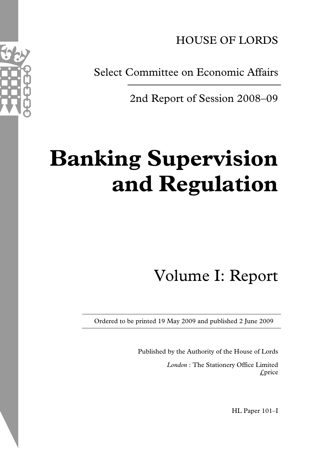HOUSE OF LORDS

Select Committee on Economic Affairs

2nd Report of Session 2008–09

# **Banking Supervision and Regulation**

# Volume I: Report

Ordered to be printed 19 May 2009 and published 2 June 2009

Published by the Authority of the House of Lords

*London* : The Stationery Office Limited £price

HL Paper 101–I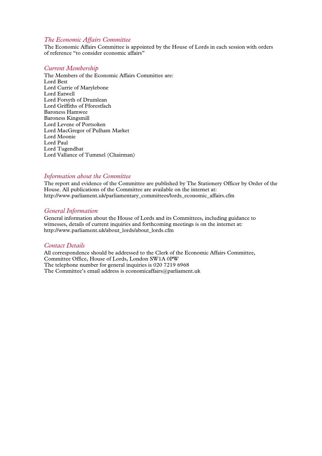#### *The Economic Affairs Committee*

The Economic Affairs Committee is appointed by the House of Lords in each session with orders of reference "to consider economic affairs"

#### *Current Membership*

The Members of the Economic Affairs Committee are: Lord Best Lord Currie of Marylebone Lord Eatwell Lord Forsyth of Drumlean Lord Griffiths of Fforestfach Baroness Hamwee Baroness Kingsmill Lord Levene of Portsoken Lord MacGregor of Pulham Market Lord Moonie Lord Paul Lord Tugendhat Lord Vallance of Tummel (Chairman)

#### *Information about the Committee*

The report and evidence of the Committee are published by The Stationery Officer by Order of the House. All publications of the Committee are available on the internet at: http://www.parliament.uk/parliamentary\_committees/lords\_economic\_affairs.cfm

#### *General Information*

General information about the House of Lords and its Committees, including guidance to witnesses, details of current inquiries and forthcoming meetings is on the internet at: http://www.parliament.uk/about\_lords/about\_lords.cfm

#### *Contact Details*

All correspondence should be addressed to the Clerk of the Economic Affairs Committee, Committee Office, House of Lords, London SW1A 0PW The telephone number for general inquiries is 020 7219 6968 The Committee's email address is economicaffairs@parliament.uk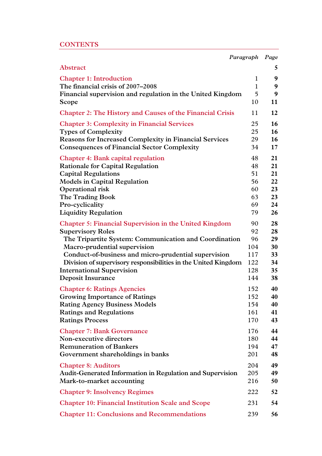# **CONTENTS**

|                                                                  | Paragraph    | Page |
|------------------------------------------------------------------|--------------|------|
| Abstract                                                         |              | 5    |
| <b>Chapter 1: Introduction</b>                                   | $\mathbf{1}$ | 9    |
| The financial crisis of 2007–2008                                | $\mathbf{1}$ | 9    |
| Financial supervision and regulation in the United Kingdom       | 5            | 9    |
| Scope                                                            | 10           | 11   |
| <b>Chapter 2: The History and Causes of the Financial Crisis</b> | 11           | 12   |
| <b>Chapter 3: Complexity in Financial Services</b>               | 25           | 16   |
| <b>Types of Complexity</b>                                       | 25           | 16   |
| <b>Reasons for Increased Complexity in Financial Services</b>    | 29           | 16   |
| <b>Consequences of Financial Sector Complexity</b>               | 34           | 17   |
| <b>Chapter 4: Bank capital regulation</b>                        | 48           | 21   |
| <b>Rationale for Capital Regulation</b>                          | 48           | 21   |
| <b>Capital Regulations</b>                                       | 51           | 21   |
| <b>Models in Capital Regulation</b>                              | 56           | 22   |
| Operational risk                                                 | 60           | 23   |
| The Trading Book                                                 | 63           | 23   |
| Pro-cyclicality                                                  | 69           | 24   |
| <b>Liquidity Regulation</b>                                      | 79           | 26   |
| <b>Chapter 5: Financial Supervision in the United Kingdom</b>    | 90           | 28   |
| <b>Supervisory Roles</b>                                         | 92           | 28   |
| The Tripartite System: Communication and Coordination            | 96           | 29   |
| Macro-prudential supervision                                     | 104          | 30   |
| Conduct-of-business and micro-prudential supervision             | 117          | 33   |
| Division of supervisory responsibilities in the United Kingdom   | 122          | 34   |
| <b>International Supervision</b>                                 | 128          | 35   |
| <b>Deposit Insurance</b>                                         | 144          | 38   |
| <b>Chapter 6: Ratings Agencies</b>                               | 152          | 40   |
| <b>Growing Importance of Ratings</b>                             | 152          | 40   |
| <b>Rating Agency Business Models</b>                             | 154          | 40   |
| <b>Ratings and Regulations</b>                                   | 161          | 41   |
| <b>Ratings Process</b>                                           | 170          | 43   |
| <b>Chapter 7: Bank Governance</b>                                | 176          | 44   |
| Non-executive directors                                          | 180          | 44   |
| <b>Remuneration of Bankers</b>                                   | 194          | 47   |
| Government shareholdings in banks                                | 201          | 48   |
| <b>Chapter 8: Auditors</b>                                       | 204          | 49   |
| <b>Audit-Generated Information in Regulation and Supervision</b> | 205          | 49   |
| Mark-to-market accounting                                        | 216          | 50   |
| <b>Chapter 9: Insolvency Regimes</b>                             | 222          | 52   |
| <b>Chapter 10: Financial Institution Scale and Scope</b>         | 231          | 54   |
| <b>Chapter 11: Conclusions and Recommendations</b>               | 239          | 56   |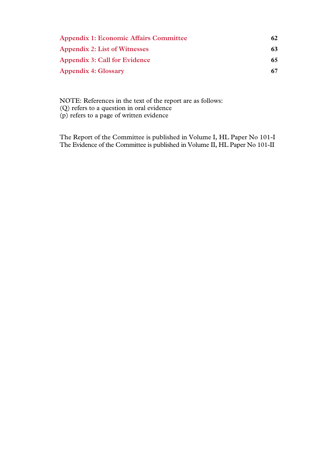| <b>Appendix 1: Economic Affairs Committee</b> | 62 |
|-----------------------------------------------|----|
| <b>Appendix 2: List of Witnesses</b>          | 63 |
| <b>Appendix 3: Call for Evidence</b>          | 65 |
| <b>Appendix 4: Glossary</b>                   | 67 |

NOTE: References in the text of the report are as follows: (Q) refers to a question in oral evidence (p) refers to a page of written evidence

The Report of the Committee is published in Volume I, HL Paper No 101-I The Evidence of the Committee is published in Volume II, HL Paper No 101-II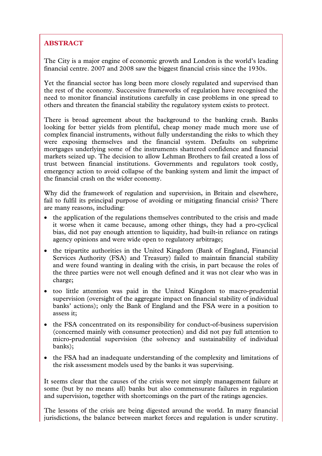# **ABSTRACT**

The City is a major engine of economic growth and London is the world's leading financial centre. 2007 and 2008 saw the biggest financial crisis since the 1930s.

Yet the financial sector has long been more closely regulated and supervised than the rest of the economy. Successive frameworks of regulation have recognised the need to monitor financial institutions carefully in case problems in one spread to others and threaten the financial stability the regulatory system exists to protect.

There is broad agreement about the background to the banking crash. Banks looking for better yields from plentiful, cheap money made much more use of complex financial instruments, without fully understanding the risks to which they were exposing themselves and the financial system. Defaults on subprime mortgages underlying some of the instruments shattered confidence and financial markets seized up. The decision to allow Lehman Brothers to fail created a loss of trust between financial institutions. Governments and regulators took costly, emergency action to avoid collapse of the banking system and limit the impact of the financial crash on the wider economy.

Why did the framework of regulation and supervision, in Britain and elsewhere, fail to fulfil its principal purpose of avoiding or mitigating financial crisis? There are many reasons, including:

- the application of the regulations themselves contributed to the crisis and made it worse when it came because, among other things, they had a pro-cyclical bias, did not pay enough attention to liquidity, had built-in reliance on ratings agency opinions and were wide open to regulatory arbitrage;
- the tripartite authorities in the United Kingdom (Bank of England, Financial Services Authority (FSA) and Treasury) failed to maintain financial stability and were found wanting in dealing with the crisis, in part because the roles of the three parties were not well enough defined and it was not clear who was in charge;
- too little attention was paid in the United Kingdom to macro-prudential supervision (oversight of the aggregate impact on financial stability of individual banks' actions); only the Bank of England and the FSA were in a position to assess it;
- the FSA concentrated on its responsibility for conduct-of-business supervision (concerned mainly with consumer protection) and did not pay full attention to micro-prudential supervision (the solvency and sustainability of individual banks);
- the FSA had an inadequate understanding of the complexity and limitations of the risk assessment models used by the banks it was supervising.

It seems clear that the causes of the crisis were not simply management failure at some (but by no means all) banks but also commensurate failures in regulation and supervision, together with shortcomings on the part of the ratings agencies.

The lessons of the crisis are being digested around the world. In many financial jurisdictions, the balance between market forces and regulation is under scrutiny.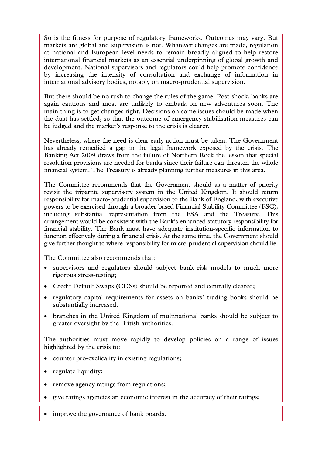So is the fitness for purpose of regulatory frameworks. Outcomes may vary. But markets are global and supervision is not. Whatever changes are made, regulation at national and European level needs to remain broadly aligned to help restore international financial markets as an essential underpinning of global growth and development. National supervisors and regulators could help promote confidence by increasing the intensity of consultation and exchange of information in international advisory bodies, notably on macro-prudential supervision.

But there should be no rush to change the rules of the game. Post-shock, banks are again cautious and most are unlikely to embark on new adventures soon. The main thing is to get changes right. Decisions on some issues should be made when the dust has settled, so that the outcome of emergency stabilisation measures can be judged and the market's response to the crisis is clearer.

Nevertheless, where the need is clear early action must be taken. The Government has already remedied a gap in the legal framework exposed by the crisis. The Banking Act 2009 draws from the failure of Northern Rock the lesson that special resolution provisions are needed for banks since their failure can threaten the whole financial system. The Treasury is already planning further measures in this area.

The Committee recommends that the Government should as a matter of priority revisit the tripartite supervisory system in the United Kingdom. It should return responsibility for macro-prudential supervision to the Bank of England, with executive powers to be exercised through a broader-based Financial Stability Committee (FSC), including substantial representation from the FSA and the Treasury. This arrangement would be consistent with the Bank's enhanced statutory responsibility for financial stability. The Bank must have adequate institution-specific information to function effectively during a financial crisis. At the same time, the Government should give further thought to where responsibility for micro-prudential supervision should lie.

The Committee also recommends that:

- supervisors and regulators should subject bank risk models to much more rigorous stress-testing;
- Credit Default Swaps (CDSs) should be reported and centrally cleared;
- regulatory capital requirements for assets on banks' trading books should be substantially increased.
- branches in the United Kingdom of multinational banks should be subject to greater oversight by the British authorities.

The authorities must move rapidly to develop policies on a range of issues highlighted by the crisis to:

- counter pro-cyclicality in existing regulations;
- regulate liquidity;
- remove agency ratings from regulations;
- give ratings agencies an economic interest in the accuracy of their ratings;
- improve the governance of bank boards.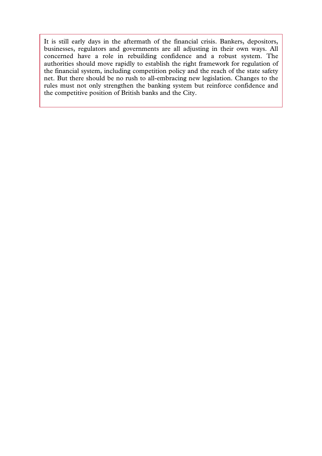It is still early days in the aftermath of the financial crisis. Bankers, depositors, businesses, regulators and governments are all adjusting in their own ways. All concerned have a role in rebuilding confidence and a robust system. The authorities should move rapidly to establish the right framework for regulation of the financial system, including competition policy and the reach of the state safety net. But there should be no rush to all-embracing new legislation. Changes to the rules must not only strengthen the banking system but reinforce confidence and the competitive position of British banks and the City.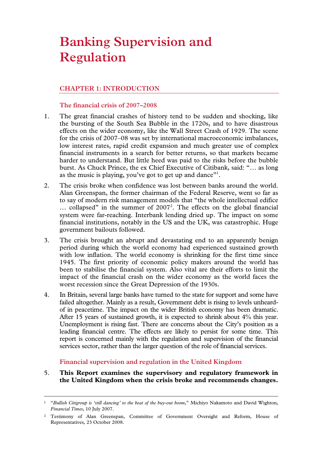# **Banking Supervision and Regulation**

# **CHAPTER 1: INTRODUCTION**

# **The financial crisis of 2007–2008**

- 1. The great financial crashes of history tend to be sudden and shocking, like the bursting of the South Sea Bubble in the 1720s, and to have disastrous effects on the wider economy, like the Wall Street Crash of 1929. The scene for the crisis of 2007–08 was set by international macroeconomic imbalances, low interest rates, rapid credit expansion and much greater use of complex financial instruments in a search for better returns, so that markets became harder to understand. But little heed was paid to the risks before the bubble burst. As Chuck Prince, the ex Chief Executive of Citibank, said: "… as long as the music is playing, you've got to get up and dance"<sup>1</sup>.
- 2. The crisis broke when confidence was lost between banks around the world. Alan Greenspan, the former chairman of the Federal Reserve, went so far as to say of modern risk management models that "the whole intellectual edifice ... collapsed" in the summer of 2007<sup>2</sup>. The effects on the global financial system were far-reaching. Interbank lending dried up. The impact on some financial institutions, notably in the US and the UK, was catastrophic. Huge government bailouts followed.
- 3. The crisis brought an abrupt and devastating end to an apparently benign period during which the world economy had experienced sustained growth with low inflation. The world economy is shrinking for the first time since 1945. The first priority of economic policy makers around the world has been to stabilise the financial system. Also vital are their efforts to limit the impact of the financial crash on the wider economy as the world faces the worst recession since the Great Depression of the 1930s.
- 4. In Britain, several large banks have turned to the state for support and some have failed altogether. Mainly as a result, Government debt is rising to levels unheardof in peacetime. The impact on the wider British economy has been dramatic. After 15 years of sustained growth, it is expected to shrink about 4% this year. Unemployment is rising fast. There are concerns about the City's position as a leading financial centre. The effects are likely to persist for some time. This report is concerned mainly with the regulation and supervision of the financial services sector, rather than the larger question of the role of financial services.

# **Financial supervision and regulation in the United Kingdom**

5. **This Report examines the supervisory and regulatory framework in the United Kingdom when the crisis broke and recommends changes.** 

 <sup>1 &</sup>quot;*Bullish Citigroup is 'still dancing' to the beat of the buy-out boom*," Michiyo Nakamoto and David Wighton, *Financial Times*, 10 July 2007.

<sup>2</sup> Testimony of Alan Greenspan, Committee of Government Oversight and Reform, House of Representatives, 23 October 2008.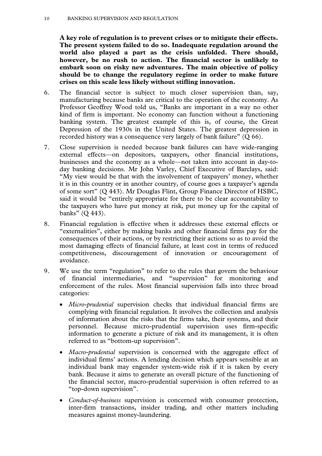#### 10 BANKING SUPERVISION AND REGULATION

**A key role of regulation is to prevent crises or to mitigate their effects. The present system failed to do so. Inadequate regulation around the world also played a part as the crisis unfolded. There should, however, be no rush to action. The financial sector is unlikely to embark soon on risky new adventures. The main objective of policy should be to change the regulatory regime in order to make future crises on this scale less likely without stifling innovation.**

- 6. The financial sector is subject to much closer supervision than, say, manufacturing because banks are critical to the operation of the economy. As Professor Geoffrey Wood told us, "Banks are important in a way no other kind of firm is important. No economy can function without a functioning banking system. The greatest example of this is, of course, the Great Depression of the 1930s in the United States. The greatest depression in recorded history was a consequence very largely of bank failure" (Q 66).
- 7. Close supervision is needed because bank failures can have wide-ranging external effects—on depositors, taxpayers, other financial institutions, businesses and the economy as a whole—not taken into account in day-today banking decisions. Mr John Varley, Chief Executive of Barclays, said: "My view would be that with the involvement of taxpayers' money, whether it is in this country or in another country, of course goes a taxpayer's agenda of some sort" (Q 443). Mr Douglas Flint, Group Finance Director of HSBC, said it would be "entirely appropriate for there to be clear accountability to the taxpayers who have put money at risk, put money up for the capital of banks" (Q 443).
- 8. Financial regulation is effective when it addresses these external effects or "externalities", either by making banks and other financial firms pay for the consequences of their actions, or by restricting their actions so as to avoid the most damaging effects of financial failure, at least cost in terms of reduced competitiveness, discouragement of innovation or encouragement of avoidance.
- 9. We use the term "regulation" to refer to the rules that govern the behaviour of financial intermediaries, and "supervision" for monitoring and enforcement of the rules. Most financial supervision falls into three broad categories:
	- *Micro-prudential* supervision checks that individual financial firms are complying with financial regulation. It involves the collection and analysis of information about the risks that the firms take, their systems, and their personnel. Because micro-prudential supervision uses firm-specific information to generate a picture of risk and its management, it is often referred to as "bottom-up supervision".
	- *Macro-prudential* supervision is concerned with the aggregate effect of individual firms' actions. A lending decision which appears sensible at an individual bank may engender system-wide risk if it is taken by every bank. Because it aims to generate an overall picture of the functioning of the financial sector, macro-prudential supervision is often referred to as "top-down supervision".
	- *Conduct-of-business* supervision is concerned with consumer protection, inter-firm transactions, insider trading, and other matters including measures against money-laundering.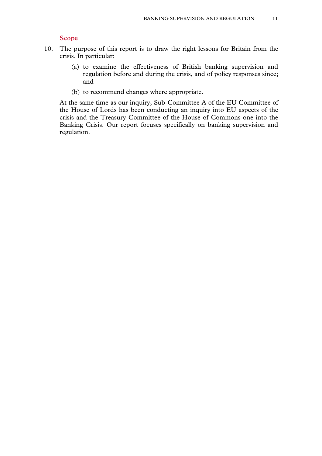#### **Scope**

- 10. The purpose of this report is to draw the right lessons for Britain from the crisis. In particular:
	- (a) to examine the effectiveness of British banking supervision and regulation before and during the crisis, and of policy responses since; and
	- (b) to recommend changes where appropriate.

At the same time as our inquiry, Sub-Committee A of the EU Committee of the House of Lords has been conducting an inquiry into EU aspects of the crisis and the Treasury Committee of the House of Commons one into the Banking Crisis. Our report focuses specifically on banking supervision and regulation.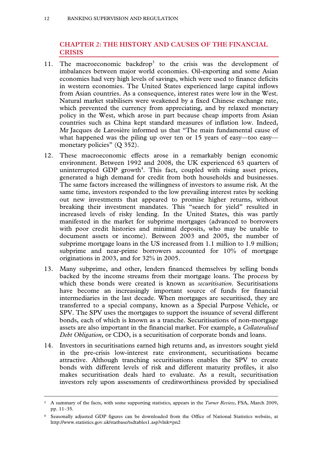# **CHAPTER 2: THE HISTORY AND CAUSES OF THE FINANCIAL CRISIS**

- 11. The macroeconomic backdrop<sup>3</sup> to the crisis was the development of imbalances between major world economies. Oil-exporting and some Asian economies had very high levels of savings, which were used to finance deficits in western economies. The United States experienced large capital inflows from Asian countries. As a consequence, interest rates were low in the West. Natural market stabilisers were weakened by a fixed Chinese exchange rate, which prevented the currency from appreciating, and by relaxed monetary policy in the West, which arose in part because cheap imports from Asian countries such as China kept standard measures of inflation low. Indeed, Mr Jacques de Larosière informed us that "The main fundamental cause of what happened was the piling up over ten or 15 years of easy—too easy monetary policies" (Q 352).
- 12. These macroeconomic effects arose in a remarkably benign economic environment. Between 1992 and 2008, the UK experienced 63 quarters of uninterrupted GDP growth<sup>4</sup>. This fact, coupled with rising asset prices, generated a high demand for credit from both households and businesses. The same factors increased the willingness of investors to assume risk. At the same time, investors responded to the low prevailing interest rates by seeking out new investments that appeared to promise higher returns, without breaking their investment mandates. This "search for yield" resulted in increased levels of risky lending. In the United States, this was partly manifested in the market for subprime mortgages (advanced to borrowers with poor credit histories and minimal deposits, who may be unable to document assets or income). Between 2003 and 2005, the number of subprime mortgage loans in the US increased from 1.1 million to 1.9 million; subprime and near-prime borrowers accounted for 10% of mortgage originations in 2003, and for 32% in 2005.
- 13. Many subprime, and other, lenders financed themselves by selling bonds backed by the income streams from their mortgage loans. The process by which these bonds were created is known as *securitisation*. Securitisations have become an increasingly important source of funds for financial intermediaries in the last decade. When mortgages are securitised, they are transferred to a special company, known as a Special Purpose Vehicle, or SPV. The SPV uses the mortgages to support the issuance of several different bonds, each of which is known as a tranche. Securitisations of non-mortgage assets are also important in the financial market. For example, a *Collateralised Debt Obligation,* or CDO, is a securitisation of corporate bonds and loans.
- 14. Investors in securitisations earned high returns and, as investors sought yield in the pre-crisis low-interest rate environment, securitisations became attractive. Although tranching securitisations enables the SPV to create bonds with different levels of risk and different maturity profiles, it also makes securitisation deals hard to evaluate. As a result, securitisation investors rely upon assessments of creditworthiness provided by specialised

 <sup>3</sup> A summary of the facts, with some supporting statistics, appears in the *Turner Review*, FSA, March 2009, pp. 11–35.

<sup>4</sup> Seasonally adjusted GDP figures can be downloaded from the Office of National Statistics website, at http://www.statistics.gov.uk/statbase/tsdtables1.asp?vlnk=pn2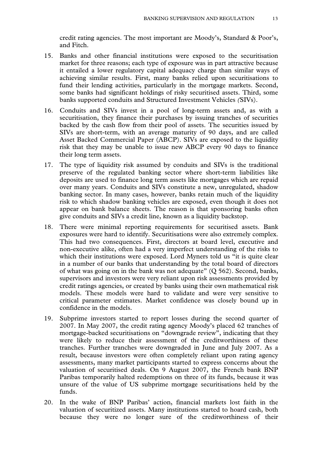credit rating agencies. The most important are Moody's, Standard & Poor's, and Fitch.

- 15. Banks and other financial institutions were exposed to the securitisation market for three reasons; each type of exposure was in part attractive because it entailed a lower regulatory capital adequacy charge than similar ways of achieving similar results. First, many banks relied upon securitisations to fund their lending activities, particularly in the mortgage markets. Second, some banks had significant holdings of risky securitised assets. Third, some banks supported conduits and Structured Investment Vehicles *(*SIVs).
- 16. Conduits and SIVs invest in a pool of long-term assets and, as with a securitisation, they finance their purchases by issuing tranches of securities backed by the cash flow from their pool of assets. The securities issued by SIVs are short-term, with an average maturity of 90 days, and are called Asset Backed Commercial Paper (ABCP). SIVs are exposed to the liquidity risk that they may be unable to issue new ABCP every 90 days to finance their long term assets.
- 17. The type of liquidity risk assumed by conduits and SIVs is the traditional preserve of the regulated banking sector where short-term liabilities like deposits are used to finance long term assets like mortgages which are repaid over many years. Conduits and SIVs constitute a new, unregulated, shadow banking sector. In many cases, however, banks retain much of the liquidity risk to which shadow banking vehicles are exposed, even though it does not appear on bank balance sheets. The reason is that sponsoring banks often give conduits and SIVs a credit line, known as a liquidity backstop.
- 18. There were minimal reporting requirements for securitised assets. Bank exposures were hard to identify. Securitisations were also extremely complex. This had two consequences. First, directors at board level, executive and non-executive alike, often had a very imperfect understanding of the risks to which their institutions were exposed. Lord Myners told us "it is quite clear in a number of our banks that understanding by the total board of directors of what was going on in the bank was not adequate" (Q 562). Second, banks, supervisors and investors were very reliant upon risk assessments provided by credit ratings agencies, or created by banks using their own mathematical risk models. These models were hard to validate and were very sensitive to critical parameter estimates. Market confidence was closely bound up in confidence in the models.
- 19. Subprime investors started to report losses during the second quarter of 2007. In May 2007, the credit rating agency Moody's placed 62 tranches of mortgage-backed securitisations on "downgrade review", indicating that they were likely to reduce their assessment of the creditworthiness of these tranches. Further tranches were downgraded in June and July 2007. As a result, because investors were often completely reliant upon rating agency assessments, many market participants started to express concerns about the valuation of securitised deals. On 9 August 2007, the French bank BNP Paribas temporarily halted redemptions on three of its funds, because it was unsure of the value of US subprime mortgage securitisations held by the funds.
- 20. In the wake of BNP Paribas' action, financial markets lost faith in the valuation of securitized assets. Many institutions started to hoard cash, both because they were no longer sure of the creditworthiness of their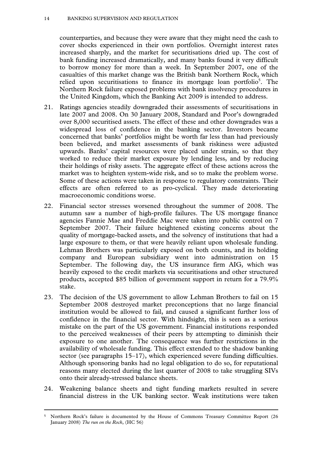counterparties, and because they were aware that they might need the cash to cover shocks experienced in their own portfolios. Overnight interest rates increased sharply, and the market for securitisations dried up. The cost of bank funding increased dramatically, and many banks found it very difficult to borrow money for more than a week. In September 2007, one of the casualties of this market change was the British bank Northern Rock, which relied upon securitisations to finance its mortgage loan portfolio<sup>5</sup>. The Northern Rock failure exposed problems with bank insolvency procedures in the United Kingdom, which the Banking Act 2009 is intended to address.

- 21. Ratings agencies steadily downgraded their assessments of securitisations in late 2007 and 2008. On 30 January 2008, Standard and Poor's downgraded over 8,000 securitised assets. The effect of these and other downgrades was a widespread loss of confidence in the banking sector. Investors became concerned that banks' portfolios might be worth far less than had previously been believed, and market assessments of bank riskiness were adjusted upwards. Banks' capital resources were placed under strain, so that they worked to reduce their market exposure by lending less, and by reducing their holdings of risky assets. The aggregate effect of these actions across the market was to heighten system-wide risk, and so to make the problem worse. Some of these actions were taken in response to regulatory constraints. Their effects are often referred to as pro-cyclical. They made deteriorating macroeconomic conditions worse.
- 22. Financial sector stresses worsened throughout the summer of 2008. The autumn saw a number of high-profile failures. The US mortgage finance agencies Fannie Mae and Freddie Mac were taken into public control on 7 September 2007. Their failure heightened existing concerns about the quality of mortgage-backed assets, and the solvency of institutions that had a large exposure to them, or that were heavily reliant upon wholesale funding. Lehman Brothers was particularly exposed on both counts, and its holding company and European subsidiary went into administration on 15 September. The following day, the US insurance firm AIG, which was heavily exposed to the credit markets via securitisations and other structured products, accepted \$85 billion of government support in return for a 79.9% stake.
- 23. The decision of the US government to allow Lehman Brothers to fail on 15 September 2008 destroyed market preconceptions that no large financial institution would be allowed to fail, and caused a significant further loss of confidence in the financial sector. With hindsight, this is seen as a serious mistake on the part of the US government. Financial institutions responded to the perceived weaknesses of their peers by attempting to diminish their exposure to one another. The consequence was further restrictions in the availability of wholesale funding. This effect extended to the shadow banking sector (see paragraphs 15–17), which experienced severe funding difficulties. Although sponsoring banks had no legal obligation to do so, for reputational reasons many elected during the last quarter of 2008 to take struggling SIVs onto their already-stressed balance sheets.
- 24. Weakening balance sheets and tight funding markets resulted in severe financial distress in the UK banking sector. Weak institutions were taken

 <sup>5</sup> Northern Rock's failure is documented by the House of Commons Treasury Committee Report (26 January 2008) *The run on the Rock*, (HC 56)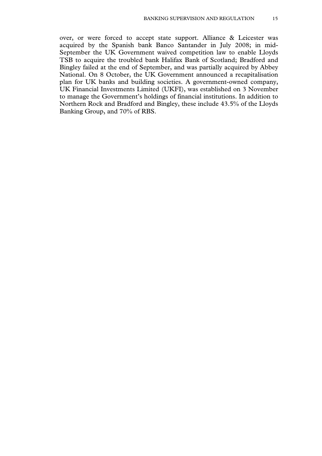over, or were forced to accept state support. Alliance & Leicester was acquired by the Spanish bank Banco Santander in July 2008; in mid-September the UK Government waived competition law to enable Lloyds TSB to acquire the troubled bank Halifax Bank of Scotland; Bradford and Bingley failed at the end of September, and was partially acquired by Abbey National. On 8 October, the UK Government announced a recapitalisation plan for UK banks and building societies. A government-owned company, UK Financial Investments Limited (UKFI), was established on 3 November to manage the Government's holdings of financial institutions. In addition to Northern Rock and Bradford and Bingley, these include 43.5% of the Lloyds Banking Group, and 70% of RBS.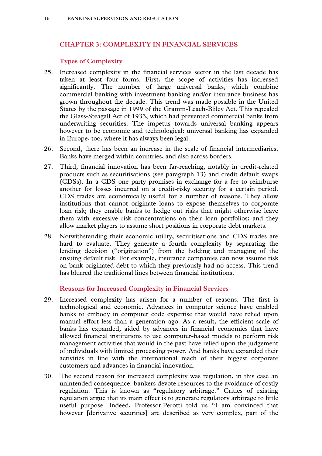# **CHAPTER 3: COMPLEXITY IN FINANCIAL SERVICES**

# **Types of Complexity**

- 25. Increased complexity in the financial services sector in the last decade has taken at least four forms. First, the scope of activities has increased significantly. The number of large universal banks, which combine commercial banking with investment banking and/or insurance business has grown throughout the decade. This trend was made possible in the United States by the passage in 1999 of the Gramm-Leach-Bliley Act. This repealed the Glass-Steagall Act of 1933, which had prevented commercial banks from underwriting securities. The impetus towards universal banking appears however to be economic and technological: universal banking has expanded in Europe, too, where it has always been legal.
- 26. Second, there has been an increase in the scale of financial intermediaries. Banks have merged within countries, and also across borders.
- 27. Third, financial innovation has been far-reaching, notably in credit-related products such as securitisations (see paragraph 13) and credit default swaps (CDSs). In a CDS one party promises in exchange for a fee to reimburse another for losses incurred on a credit-risky security for a certain period. CDS trades are economically useful for a number of reasons. They allow institutions that cannot originate loans to expose themselves to corporate loan risk; they enable banks to hedge out risks that might otherwise leave them with excessive risk concentrations on their loan portfolios; and they allow market players to assume short positions in corporate debt markets.
- 28. Notwithstanding their economic utility, securitisations and CDS trades are hard to evaluate. They generate a fourth complexity by separating the lending decision ("origination") from the holding and managing of the ensuing default risk. For example, insurance companies can now assume risk on bank-originated debt to which they previously had no access. This trend has blurred the traditional lines between financial institutions.

# **Reasons for Increased Complexity in Financial Services**

- 29. Increased complexity has arisen for a number of reasons. The first is technological and economic. Advances in computer science have enabled banks to embody in computer code expertise that would have relied upon manual effort less than a generation ago. As a result, the efficient scale of banks has expanded, aided by advances in financial economics that have allowed financial institutions to use computer-based models to perform risk management activities that would in the past have relied upon the judgement of individuals with limited processing power. And banks have expanded their activities in line with the international reach of their biggest corporate customers and advances in financial innovation.
- 30. The second reason for increased complexity was regulation, in this case an unintended consequence: bankers devote resources to the avoidance of costly regulation. This is known as "regulatory arbitrage." Critics of existing regulation argue that its main effect is to generate regulatory arbitrage to little useful purpose. Indeed, Professor Perotti told us "I am convinced that however [derivative securities] are described as very complex, part of the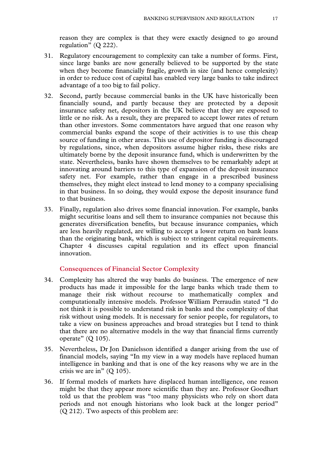reason they are complex is that they were exactly designed to go around regulation" (Q 222).

- 31. Regulatory encouragement to complexity can take a number of forms. First, since large banks are now generally believed to be supported by the state when they become financially fragile, growth in size (and hence complexity) in order to reduce cost of capital has enabled very large banks to take indirect advantage of a too big to fail policy.
- 32. Second, partly because commercial banks in the UK have historically been financially sound, and partly because they are protected by a deposit insurance safety net, depositors in the UK believe that they are exposed to little or no risk. As a result, they are prepared to accept lower rates of return than other investors. Some commentators have argued that one reason why commercial banks expand the scope of their activities is to use this cheap source of funding in other areas. This use of depositor funding is discouraged by regulations, since, when depositors assume higher risks, these risks are ultimately borne by the deposit insurance fund, which is underwritten by the state. Nevertheless, banks have shown themselves to be remarkably adept at innovating around barriers to this type of expansion of the deposit insurance safety net. For example, rather than engage in a prescribed business themselves, they might elect instead to lend money to a company specialising in that business. In so doing, they would expose the deposit insurance fund to that business.
- 33. Finally, regulation also drives some financial innovation. For example, banks might securitise loans and sell them to insurance companies not because this generates diversification benefits, but because insurance companies, which are less heavily regulated, are willing to accept a lower return on bank loans than the originating bank, which is subject to stringent capital requirements. Chapter 4 discusses capital regulation and its effect upon financial innovation.

#### **Consequences of Financial Sector Complexity**

- 34. Complexity has altered the way banks do business. The emergence of new products has made it impossible for the large banks which trade them to manage their risk without recourse to mathematically complex and computationally intensive models. Professor William Perraudin stated "I do not think it is possible to understand risk in banks and the complexity of that risk without using models. It is necessary for senior people, for regulators, to take a view on business approaches and broad strategies but I tend to think that there are no alternative models in the way that financial firms currently operate" (Q 105).
- 35. Nevertheless, Dr Jon Danielsson identified a danger arising from the use of financial models, saying "In my view in a way models have replaced human intelligence in banking and that is one of the key reasons why we are in the crisis we are in"  $(Q 105)$ .
- 36. If formal models of markets have displaced human intelligence, one reason might be that they appear more scientific than they are. Professor Goodhart told us that the problem was "too many physicists who rely on short data periods and not enough historians who look back at the longer period" (Q 212). Two aspects of this problem are: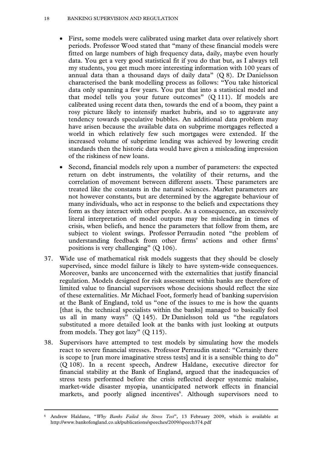#### 18 BANKING SUPERVISION AND REGULATION

- First, some models were calibrated using market data over relatively short periods. Professor Wood stated that "many of these financial models were fitted on large numbers of high frequency data, daily, maybe even hourly data. You get a very good statistical fit if you do that but, as I always tell my students, you get much more interesting information with 100 years of annual data than a thousand days of daily data"  $(Q 8)$ . Dr Danielsson characterised the bank modelling process as follows: "You take historical data only spanning a few years. You put that into a statistical model and that model tells you your future outcomes" (Q 111). If models are calibrated using recent data then, towards the end of a boom, they paint a rosy picture likely to intensify market hubris, and so to aggravate any tendency towards speculative bubbles. An additional data problem may have arisen because the available data on subprime mortgages reflected a world in which relatively few such mortgages were extended. If the increased volume of subprime lending was achieved by lowering credit standards then the historic data would have given a misleading impression of the riskiness of new loans.
- Second, financial models rely upon a number of parameters: the expected return on debt instruments, the volatility of their returns, and the correlation of movement between different assets. These parameters are treated like the constants in the natural sciences. Market parameters are not however constants, but are determined by the aggregate behaviour of many individuals, who act in response to the beliefs and expectations they form as they interact with other people. As a consequence, an excessively literal interpretation of model outputs may be misleading in times of crisis, when beliefs, and hence the parameters that follow from them, are subject to violent swings. Professor Perraudin noted "the problem of understanding feedback from other firms' actions and other firms' positions is very challenging" (Q 106).
- 37. Wide use of mathematical risk models suggests that they should be closely supervised, since model failure is likely to have system-wide consequences. Moreover, banks are unconcerned with the externalities that justify financial regulation. Models designed for risk assessment within banks are therefore of limited value to financial supervisors whose decisions should reflect the size of these externalities. Mr Michael Foot, formerly head of banking supervision at the Bank of England, told us "one of the issues to me is how the quants [that is, the technical specialists within the banks] managed to basically fool us all in many ways" (Q 145). Dr Danielsson told us "the regulators substituted a more detailed look at the banks with just looking at outputs from models. They got lazy" (Q 115).
- 38. Supervisors have attempted to test models by simulating how the models react to severe financial stresses. Professor Perraudin stated: "Certainly there is scope to [run more imaginative stress tests] and it is a sensible thing to do" (Q 108). In a recent speech, Andrew Haldane, executive director for financial stability at the Bank of England, argued that the inadequacies of stress tests performed before the crisis reflected deeper systemic malaise, market-wide disaster myopia, unanticipated network effects in financial markets, and poorly aligned incentives<sup>6</sup>. Although supervisors need to

 <sup>6</sup> Andrew Haldane, "*Why Banks Failed the Stress Test*", 13 February 2009, which is available at http://www.bankofengland.co.uk/publications/speeches/2009/speech374.pdf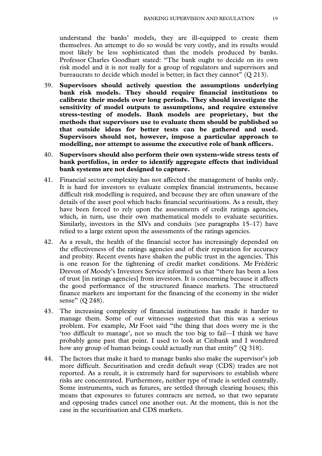understand the banks' models, they are ill-equipped to create them themselves. An attempt to do so would be very costly, and its results would most likely be less sophisticated than the models produced by banks. Professor Charles Goodhart stated: "The bank ought to decide on its own risk model and it is not really for a group of regulators and supervisors and bureaucrats to decide which model is better; in fact they cannot" (Q 213).

- 39. **Supervisors should actively question the assumptions underlying bank risk models. They should require financial institutions to calibrate their models over long periods. They should investigate the sensitivity of model outputs to assumptions, and require extensive stress-testing of models. Bank models are proprietary, but the methods that supervisors use to evaluate them should be published so that outside ideas for better tests can be gathered and used. Supervisors should not, however, impose a particular approach to modelling, nor attempt to assume the executive role of bank officers.**
- 40. **Supervisors should also perform their own system-wide stress tests of bank portfolios, in order to identify aggregate effects that individual bank systems are not designed to capture.**
- 41. Financial sector complexity has not affected the management of banks only. It is hard for investors to evaluate complex financial instruments, because difficult risk modelling is required, and because they are often unaware of the details of the asset pool which backs financial securitisations. As a result, they have been forced to rely upon the assessments of credit ratings agencies, which, in turn, use their own mathematical models to evaluate securities. Similarly, investors in the SIVs and conduits (see paragraphs 15–17) have relied to a large extent upon the assessments of the ratings agencies.
- 42. As a result, the health of the financial sector has increasingly depended on the effectiveness of the ratings agencies and of their reputation for accuracy and probity. Recent events have shaken the public trust in the agencies. This is one reason for the tightening of credit market conditions. Mr Frédéric Drevon of Moody's Investors Service informed us that "there has been a loss of trust [in ratings agencies] from investors. It is concerning because it affects the good performance of the structured finance markets. The structured finance markets are important for the financing of the economy in the wider sense" (Q 248).
- 43. The increasing complexity of financial institutions has made it harder to manage them. Some of our witnesses suggested that this was a serious problem. For example, Mr Foot said "the thing that does worry me is the 'too difficult to manage', not so much the too big to fail—I think we have probably gone past that point. I used to look at Citibank and I wondered how any group of human beings could actually run that entity" (Q 318).
- 44. The factors that make it hard to manage banks also make the supervisor's job more difficult. Securitisation and credit default swap (CDS) trades are not reported. As a result, it is extremely hard for supervisors to establish where risks are concentrated. Furthermore, neither type of trade is settled centrally. Some instruments, such as futures, are settled through clearing houses; this means that exposures to futures contracts are netted, so that two separate and opposing trades cancel one another out. At the moment, this is not the case in the securitisation and CDS markets.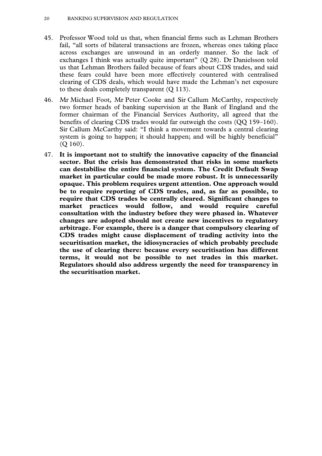- 45. Professor Wood told us that, when financial firms such as Lehman Brothers fail, "all sorts of bilateral transactions are frozen, whereas ones taking place across exchanges are unwound in an orderly manner. So the lack of exchanges I think was actually quite important" (Q 28). Dr Danielsson told us that Lehman Brothers failed because of fears about CDS trades, and said these fears could have been more effectively countered with centralised clearing of CDS deals, which would have made the Lehman's net exposure to these deals completely transparent (Q 113).
- 46. Mr Michael Foot, Mr Peter Cooke and Sir Callum McCarthy, respectively two former heads of banking supervision at the Bank of England and the former chairman of the Financial Services Authority, all agreed that the benefits of clearing CDS trades would far outweigh the costs (QQ 159–160). Sir Callum McCarthy said: "I think a movement towards a central clearing system is going to happen; it should happen; and will be highly beneficial" (Q 160).
- 47. **It is important not to stultify the innovative capacity of the financial sector. But the crisis has demonstrated that risks in some markets can destabilise the entire financial system. The Credit Default Swap market in particular could be made more robust. It is unnecessarily opaque. This problem requires urgent attention. One approach would be to require reporting of CDS trades, and, as far as possible, to require that CDS trades be centrally cleared. Significant changes to market practices would follow, and would require careful consultation with the industry before they were phased in. Whatever changes are adopted should not create new incentives to regulatory arbitrage. For example, there is a danger that compulsory clearing of CDS trades might cause displacement of trading activity into the securitisation market, the idiosyncracies of which probably preclude the use of clearing there: because every securitisation has different terms, it would not be possible to net trades in this market. Regulators should also address urgently the need for transparency in the securitisation market.**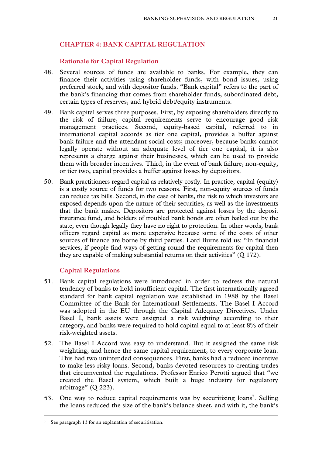# **CHAPTER 4: BANK CAPITAL REGULATION**

#### **Rationale for Capital Regulation**

- 48. Several sources of funds are available to banks. For example, they can finance their activities using shareholder funds, with bond issues, using preferred stock, and with depositor funds. "Bank capital" refers to the part of the bank's financing that comes from shareholder funds, subordinated debt, certain types of reserves, and hybrid debt/equity instruments.
- 49. Bank capital serves three purposes. First, by exposing shareholders directly to the risk of failure, capital requirements serve to encourage good risk management practices. Second, equity-based capital, referred to in international capital accords as tier one capital, provides a buffer against bank failure and the attendant social costs; moreover, because banks cannot legally operate without an adequate level of tier one capital, it is also represents a charge against their businesses, which can be used to provide them with broader incentives. Third, in the event of bank failure, non-equity, or tier two, capital provides a buffer against losses by depositors.
- 50. Bank practitioners regard capital as relatively costly. In practice, capital (equity) is a costly source of funds for two reasons. First, non-equity sources of funds can reduce tax bills. Second, in the case of banks, the risk to which investors are exposed depends upon the nature of their securities, as well as the investments that the bank makes. Depositors are protected against losses by the deposit insurance fund, and holders of troubled bank bonds are often bailed out by the state, even though legally they have no right to protection. In other words, bank officers regard capital as more expensive because some of the costs of other sources of finance are borne by third parties. Lord Burns told us: "In financial services, if people find ways of getting round the requirements for capital then they are capable of making substantial returns on their activities" (Q 172).

#### **Capital Regulations**

- 51. Bank capital regulations were introduced in order to redress the natural tendency of banks to hold insufficient capital. The first internationally agreed standard for bank capital regulation was established in 1988 by the Basel Committee of the Bank for International Settlements. The Basel I Accord was adopted in the EU through the Capital Adequacy Directives. Under Basel I, bank assets were assigned a risk weighting according to their category, and banks were required to hold capital equal to at least 8% of their risk-weighted assets.
- 52. The Basel I Accord was easy to understand. But it assigned the same risk weighting, and hence the same capital requirement, to every corporate loan. This had two unintended consequences. First, banks had a reduced incentive to make less risky loans. Second, banks devoted resources to creating trades that circumvented the regulations. Professor Enrico Perotti argued that "we created the Basel system, which built a huge industry for regulatory arbitrage"  $(Q 223)$ .
- 53. One way to reduce capital requirements was by securitizing loans<sup>7</sup>. Selling the loans reduced the size of the bank's balance sheet, and with it, the bank's

 <sup>7</sup> See paragraph 13 for an explanation of securitisation.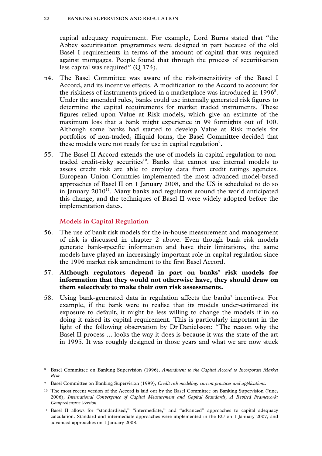#### 22 BANKING SUPERVISION AND REGULATION

capital adequacy requirement. For example, Lord Burns stated that "the Abbey securitisation programmes were designed in part because of the old Basel I requirements in terms of the amount of capital that was required against mortgages. People found that through the process of securitisation less capital was required" (Q 174).

- 54. The Basel Committee was aware of the risk-insensitivity of the Basel I Accord, and its incentive effects. A modification to the Accord to account for the riskiness of instruments priced in a marketplace was introduced in 1996<sup>8</sup>. Under the amended rules, banks could use internally generated risk figures to determine the capital requirements for market traded instruments. These figures relied upon Value at Risk models, which give an estimate of the maximum loss that a bank might experience in 99 fortnights out of 100. Although some banks had started to develop Value at Risk models for portfolios of non-traded, illiquid loans, the Basel Committee decided that these models were not ready for use in capital regulation $\degree$ .
- 55. The Basel II Accord extends the use of models in capital regulation to nontraded credit-risky securities<sup>10</sup>. Banks that cannot use internal models to assess credit risk are able to employ data from credit ratings agencies. European Union Countries implemented the most advanced model-based approaches of Basel II on 1 January 2008, and the US is scheduled to do so in January  $2010^{11}$ . Many banks and regulators around the world anticipated this change, and the techniques of Basel II were widely adopted before the implementation dates.

# **Models in Capital Regulation**

- 56. The use of bank risk models for the in-house measurement and management of risk is discussed in chapter 2 above. Even though bank risk models generate bank-specific information and have their limitations, the same models have played an increasingly important role in capital regulation since the 1996 market risk amendment to the first Basel Accord.
- 57. **Although regulators depend in part on banks' risk models for information that they would not otherwise have, they should draw on them selectively to make their own risk assessments.**
- 58. Using bank-generated data in regulation affects the banks' incentives. For example, if the bank were to realise that its models under-estimated its exposure to default, it might be less willing to change the models if in so doing it raised its capital requirement. This is particularly important in the light of the following observation by Dr Danielsson: "The reason why the Basel II process ... looks the way it does is because it was the state of the art in 1995. It was roughly designed in those years and what we are now stuck

 <sup>8</sup> Basel Committee on Banking Supervision (1996), *Amendment to the Capital Accord to Incorporate Market Risk.* 

<sup>9</sup> Basel Committee on Banking Supervision (1999), *Credit risk modeling: current practices and applications*.

<sup>&</sup>lt;sup>10</sup> The most recent version of the Accord is laid out by the Basel Committee on Banking Supervision (June, 2006), *International Convergence of Capital Measurement and Capital Standards, A Revised Framework: Comprehensive Version*.

<sup>11</sup> Basel II allows for "standardised," "intermediate," and "advanced" approaches to capital adequacy calculation. Standard and intermediate approaches were implemented in the EU on 1 January 2007, and advanced approaches on 1 January 2008.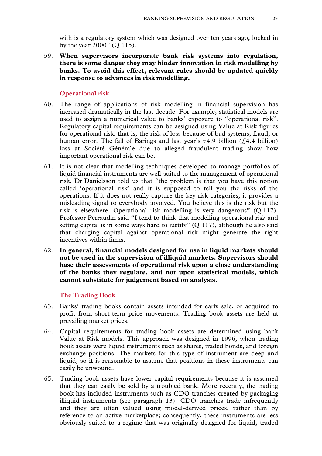with is a regulatory system which was designed over ten years ago, locked in by the year 2000" (Q 115).

59. **When supervisors incorporate bank risk systems into regulation, there is some danger they may hinder innovation in risk modelling by banks. To avoid this effect, relevant rules should be updated quickly in response to advances in risk modelling.** 

#### **Operational risk**

- 60. The range of applications of risk modelling in financial supervision has increased dramatically in the last decade. For example, statistical models are used to assign a numerical value to banks' exposure to "operational risk". Regulatory capital requirements can be assigned using Value at Risk figures for operational risk: that is, the risk of loss because of bad systems, fraud, or human error. The fall of Barings and last year's  $\epsilon$ 4.9 billion ( $\zeta$ 4.4 billion) loss at Société Générale due to alleged fraudulent trading show how important operational risk can be.
- 61. It is not clear that modelling techniques developed to manage portfolios of liquid financial instruments are well-suited to the management of operational risk. Dr Danielsson told us that "the problem is that you have this notion called 'operational risk' and it is supposed to tell you the risks of the operations. If it does not really capture the key risk categories, it provides a misleading signal to everybody involved. You believe this is the risk but the risk is elsewhere. Operational risk modelling is very dangerous" (Q 117). Professor Perraudin said "I tend to think that modelling operational risk and setting capital is in some ways hard to justify" (Q 117), although he also said that charging capital against operational risk might generate the right incentives within firms.
- 62. **In general, financial models designed for use in liquid markets should not be used in the supervision of illiquid markets. Supervisors should base their assessments of operational risk upon a close understanding of the banks they regulate, and not upon statistical models, which cannot substitute for judgement based on analysis.**

#### **The Trading Book**

- 63. Banks' trading books contain assets intended for early sale, or acquired to profit from short-term price movements. Trading book assets are held at prevailing market prices.
- 64. Capital requirements for trading book assets are determined using bank Value at Risk models. This approach was designed in 1996, when trading book assets were liquid instruments such as shares, traded bonds, and foreign exchange positions. The markets for this type of instrument are deep and liquid, so it is reasonable to assume that positions in these instruments can easily be unwound.
- 65. Trading book assets have lower capital requirements because it is assumed that they can easily be sold by a troubled bank. More recently, the trading book has included instruments such as CDO tranches created by packaging illiquid instruments (see paragraph 13). CDO tranches trade infrequently and they are often valued using model-derived prices, rather than by reference to an active marketplace; consequently, these instruments are less obviously suited to a regime that was originally designed for liquid, traded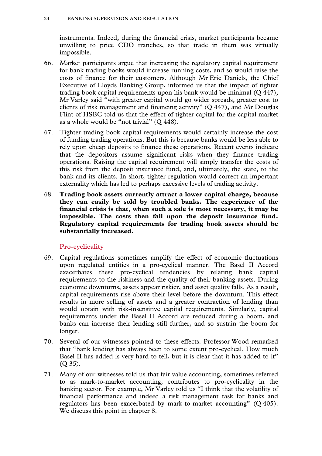instruments. Indeed, during the financial crisis, market participants became unwilling to price CDO tranches, so that trade in them was virtually impossible.

- 66. Market participants argue that increasing the regulatory capital requirement for bank trading books would increase running costs, and so would raise the costs of finance for their customers. Although Mr Eric Daniels, the Chief Executive of Lloyds Banking Group, informed us that the impact of tighter trading book capital requirements upon his bank would be minimal (Q 447), Mr Varley said "with greater capital would go wider spreads, greater cost to clients of risk management and financing activity" (Q 447), and Mr Douglas Flint of HSBC told us that the effect of tighter capital for the capital market as a whole would be "not trivial" (Q 448).
- 67. Tighter trading book capital requirements would certainly increase the cost of funding trading operations. But this is because banks would be less able to rely upon cheap deposits to finance these operations. Recent events indicate that the depositors assume significant risks when they finance trading operations. Raising the capital requirement will simply transfer the costs of this risk from the deposit insurance fund, and, ultimately, the state, to the bank and its clients. In short, tighter regulation would correct an important externality which has led to perhaps excessive levels of trading activity.
- 68. **Trading book assets currently attract a lower capital charge, because they can easily be sold by troubled banks. The experience of the financial crisis is that, when such a sale is most necessary, it may be impossible. The costs then fall upon the deposit insurance fund. Regulatory capital requirements for trading book assets should be substantially increased.**

# **Pro-cyclicality**

- 69. Capital regulations sometimes amplify the effect of economic fluctuations upon regulated entities in a pro-cyclical manner. The Basel II Accord exacerbates these pro-cyclical tendencies by relating bank capital requirements to the riskiness and the quality of their banking assets. During economic downturns, assets appear riskier, and asset quality falls. As a result, capital requirements rise above their level before the downturn. This effect results in more selling of assets and a greater contraction of lending than would obtain with risk-insensitive capital requirements. Similarly, capital requirements under the Basel II Accord are reduced during a boom, and banks can increase their lending still further, and so sustain the boom for longer.
- 70. Several of our witnesses pointed to these effects. Professor Wood remarked that "bank lending has always been to some extent pro-cyclical. How much Basel II has added is very hard to tell, but it is clear that it has added to it" (Q 35).
- 71. Many of our witnesses told us that fair value accounting, sometimes referred to as mark-to-market accounting, contributes to pro-cyclicality in the banking sector. For example, Mr Varley told us "I think that the volatility of financial performance and indeed a risk management task for banks and regulators has been exacerbated by mark-to-market accounting" (Q 405). We discuss this point in chapter 8.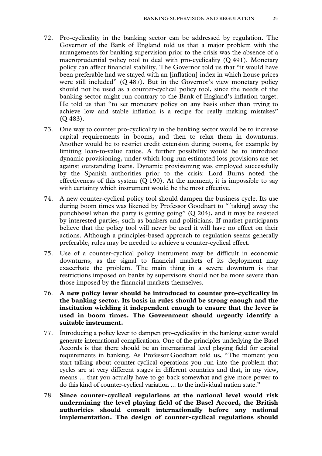- 72. Pro-cyclicality in the banking sector can be addressed by regulation. The Governor of the Bank of England told us that a major problem with the arrangements for banking supervision prior to the crisis was the absence of a macroprudential policy tool to deal with pro-cyclicality (Q 491). Monetary policy can affect financial stability. The Governor told us that "it would have been preferable had we stayed with an [inflation] index in which house prices were still included" (Q 487). But in the Governor's view monetary policy should not be used as a counter-cyclical policy tool, since the needs of the banking sector might run contrary to the Bank of England's inflation target. He told us that "to set monetary policy on any basis other than trying to achieve low and stable inflation is a recipe for really making mistakes" (Q 483).
- 73. One way to counter pro-cyclicality in the banking sector would be to increase capital requirements in booms, and then to relax them in downturns. Another would be to restrict credit extension during booms, for example by limiting loan-to-value ratios. A further possibility would be to introduce dynamic provisioning, under which long-run estimated loss provisions are set against outstanding loans. Dynamic provisioning was employed successfully by the Spanish authorities prior to the crisis: Lord Burns noted the effectiveness of this system  $(Q 190)$ . At the moment, it is impossible to say with certainty which instrument would be the most effective.
- 74. A new counter-cyclical policy tool should dampen the business cycle. Its use during boom times was likened by Professor Goodhart to "[taking] away the punchbowl when the party is getting going" (Q 204), and it may be resisted by interested parties, such as bankers and politicians. If market participants believe that the policy tool will never be used it will have no effect on their actions. Although a principles-based approach to regulation seems generally preferable, rules may be needed to achieve a counter-cyclical effect.
- 75. Use of a counter-cyclical policy instrument may be difficult in economic downturns, as the signal to financial markets of its deployment may exacerbate the problem. The main thing in a severe downturn is that restrictions imposed on banks by supervisors should not be more severe than those imposed by the financial markets themselves.
- 76. **A new policy lever should be introduced to counter pro-cyclicality in the banking sector. Its basis in rules should be strong enough and the institution wielding it independent enough to ensure that the lever is used in boom times. The Government should urgently identify a suitable instrument.**
- 77. Introducing a policy lever to dampen pro-cyclicality in the banking sector would generate international complications. One of the principles underlying the Basel Accords is that there should be an international level playing field for capital requirements in banking. As Professor Goodhart told us, "The moment you start talking about counter-cyclical operations you run into the problem that cycles are at very different stages in different countries and that, in my view, means ... that you actually have to go back somewhat and give more power to do this kind of counter-cyclical variation ... to the individual nation state."
- 78. **Since counter-cyclical regulations at the national level would risk undermining the level playing field of the Basel Accord, the British authorities should consult internationally before any national implementation. The design of counter-cyclical regulations should**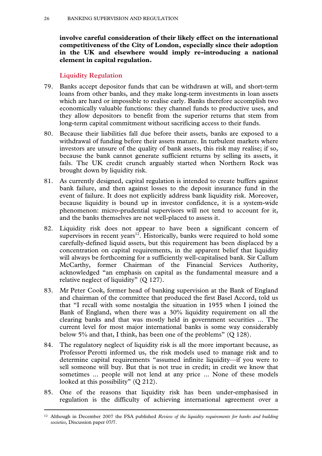**involve careful consideration of their likely effect on the international competitiveness of the City of London, especially since their adoption in the UK and elsewhere would imply re-introducing a national element in capital regulation.** 

# **Liquidity Regulation**

- 79. Banks accept depositor funds that can be withdrawn at will, and short-term loans from other banks, and they make long-term investments in loan assets which are hard or impossible to realise early. Banks therefore accomplish two economically valuable functions: they channel funds to productive uses, and they allow depositors to benefit from the superior returns that stem from long-term capital commitment without sacrificing access to their funds.
- 80. Because their liabilities fall due before their assets, banks are exposed to a withdrawal of funding before their assets mature. In turbulent markets where investors are unsure of the quality of bank assets, this risk may realise; if so, because the bank cannot generate sufficient returns by selling its assets, it fails. The UK credit crunch arguably started when Northern Rock was brought down by liquidity risk.
- 81. As currently designed, capital regulation is intended to create buffers against bank failure, and then against losses to the deposit insurance fund in the event of failure. It does not explicitly address bank liquidity risk. Moreover, because liquidity is bound up in investor confidence, it is a system-wide phenomenon: micro-prudential supervisors will not tend to account for it, and the banks themselves are not well-placed to assess it.
- 82. Liquidity risk does not appear to have been a significant concern of supervisors in recent years $12$ . Historically, banks were required to hold some carefully-defined liquid assets, but this requirement has been displaced by a concentration on capital requirements, in the apparent belief that liquidity will always be forthcoming for a sufficiently well-capitalised bank. Sir Callum McCarthy, former Chairman of the Financial Services Authority, acknowledged "an emphasis on capital as the fundamental measure and a relative neglect of liquidity" (Q 127).
- 83. Mr Peter Cook, former head of banking supervision at the Bank of England and chairman of the committee that produced the first Basel Accord, told us that "I recall with some nostalgia the situation in 1955 when I joined the Bank of England, when there was a 30% liquidity requirement on all the clearing banks and that was mostly held in government securities ... The current level for most major international banks is some way considerably below 5% and that, I think, has been one of the problems" (Q 128).
- 84. The regulatory neglect of liquidity risk is all the more important because, as Professor Perotti informed us, the risk models used to manage risk and to determine capital requirements "assumed infinite liquidity—if you were to sell someone will buy. But that is not true in credit; in credit we know that sometimes ... people will not lend at any price ... None of these models looked at this possibility" (Q 212).
- 85. One of the reasons that liquidity risk has been under-emphasised in regulation is the difficulty of achieving international agreement over a

 <sup>12</sup> Although in December 2007 the FSA published *Review of the liquidity requirements for banks and building societies*, Discussion paper 07/7.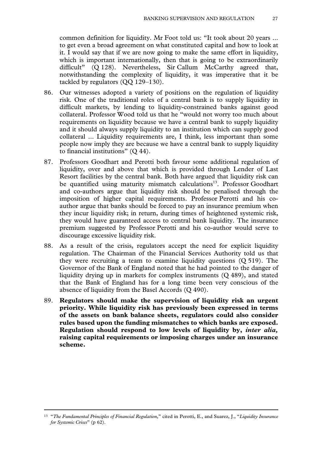common definition for liquidity. Mr Foot told us: "It took about 20 years ... to get even a broad agreement on what constituted capital and how to look at it. I would say that if we are now going to make the same effort in liquidity, which is important internationally, then that is going to be extraordinarily difficult" (Q 128). Nevertheless, Sir Callum McCarthy agreed that, notwithstanding the complexity of liquidity, it was imperative that it be tackled by regulators (QQ 129–130).

- 86. Our witnesses adopted a variety of positions on the regulation of liquidity risk. One of the traditional roles of a central bank is to supply liquidity in difficult markets, by lending to liquidity-constrained banks against good collateral. Professor Wood told us that he "would not worry too much about requirements on liquidity because we have a central bank to supply liquidity and it should always supply liquidity to an institution which can supply good collateral ... Liquidity requirements are, I think, less important than some people now imply they are because we have a central bank to supply liquidity to financial institutions" (Q 44).
- 87. Professors Goodhart and Perotti both favour some additional regulation of liquidity, over and above that which is provided through Lender of Last Resort facilities by the central bank. Both have argued that liquidity risk can be quantified using maturity mismatch calculations<sup>13</sup>. Professor Goodhart and co-authors argue that liquidity risk should be penalised through the imposition of higher capital requirements. Professor Perotti and his coauthor argue that banks should be forced to pay an insurance premium when they incur liquidity risk; in return, during times of heightened systemic risk, they would have guaranteed access to central bank liquidity. The insurance premium suggested by Professor Perotti and his co-author would serve to discourage excessive liquidity risk.
- 88. As a result of the crisis, regulators accept the need for explicit liquidity regulation. The Chairman of the Financial Services Authority told us that they were recruiting a team to examine liquidity questions (Q 519). The Governor of the Bank of England noted that he had pointed to the danger of liquidity drying up in markets for complex instruments (Q 489), and stated that the Bank of England has for a long time been very conscious of the absence of liquidity from the Basel Accords (Q 490).
- 89. **Regulators should make the supervision of liquidity risk an urgent priority. While liquidity risk has previously been expressed in terms of the assets on bank balance sheets, regulators could also consider rules based upon the funding mismatches to which banks are exposed. Regulation should respond to low levels of liquidity by,** *inter alia,*  **raising capital requirements or imposing charges under an insurance scheme.**

 <sup>13 &</sup>quot;*The Fundamental Principles of Financial Regulation*," cited in Perotti, E., and Suarez, J., "*Liquidity Insurance for Systemic Crises*" (p 62).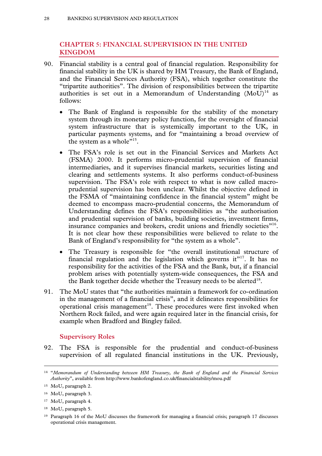# **CHAPTER 5: FINANCIAL SUPERVISION IN THE UNITED KINGDOM**

- 90. Financial stability is a central goal of financial regulation. Responsibility for financial stability in the UK is shared by HM Treasury, the Bank of England, and the Financial Services Authority (FSA), which together constitute the "tripartite authorities". The division of responsibilities between the tripartite authorities is set out in a Memorandum of Understanding  $(MoU)^{14}$  as follows:
	- The Bank of England is responsible for the stability of the monetary system through its monetary policy function, for the oversight of financial system infrastructure that is systemically important to the UK, in particular payments systems, and for "maintaining a broad overview of the system as a whole"<sup>15</sup>.
	- The FSA's role is set out in the Financial Services and Markets Act (FSMA) 2000. It performs micro-prudential supervision of financial intermediaries, and it supervises financial markets, securities listing and clearing and settlements systems. It also performs conduct-of-business supervision. The FSA's role with respect to what is now called macroprudential supervision has been unclear. Whilst the objective defined in the FSMA of "maintaining confidence in the financial system" might be deemed to encompass macro-prudential concerns, the Memorandum of Understanding defines the FSA's responsibilities as "the authorisation and prudential supervision of banks, building societies, investment firms, insurance companies and brokers, credit unions and friendly societies"16. It is not clear how these responsibilities were believed to relate to the Bank of England's responsibility for "the system as a whole".
	- The Treasury is responsible for "the overall institutional structure of financial regulation and the legislation which governs it"<sup>17</sup>. It has no responsibility for the activities of the FSA and the Bank, but, if a financial problem arises with potentially system-wide consequences, the FSA and the Bank together decide whether the Treasury needs to be alerted $18$ .
- 91. The MoU states that "the authorities maintain a framework for co-ordination in the management of a financial crisis", and it delineates responsibilities for operational crisis management<sup>19</sup>. These procedures were first invoked when Northern Rock failed, and were again required later in the financial crisis, for example when Bradford and Bingley failed.

# **Supervisory Roles**

92. The FSA is responsible for the prudential and conduct-of-business supervision of all regulated financial institutions in the UK. Previously,

 <sup>14 &</sup>quot;*Memorandum of Understanding between HM Treasury, the Bank of England and the Financial Services Authority*", available from http://www.bankofengland.co.uk/financialstability/mou.pdf

<sup>15</sup> MoU, paragraph 2.

<sup>16</sup> MoU, paragraph 3.

<sup>17</sup> MoU, paragraph 4.

<sup>18</sup> MoU, paragraph 5.

<sup>19</sup> Paragraph 16 of the MoU discusses the framework for managing a financial crisis; paragraph 17 discusses operational crisis management.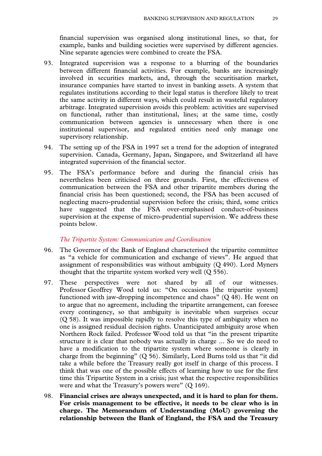financial supervision was organised along institutional lines, so that, for example, banks and building societies were supervised by different agencies. Nine separate agencies were combined to create the FSA.

- 93. Integrated supervision was a response to a blurring of the boundaries between different financial activities. For example, banks are increasingly involved in securities markets, and, through the securitisation market, insurance companies have started to invest in banking assets. A system that regulates institutions according to their legal status is therefore likely to treat the same activity in different ways, which could result in wasteful regulatory arbitrage. Integrated supervision avoids this problem: activities are supervised on functional, rather than institutional, lines; at the same time, costly communication between agencies is unnecessary when there is one institutional supervisor, and regulated entities need only manage one supervisory relationship.
- 94. The setting up of the FSA in 1997 set a trend for the adoption of integrated supervision. Canada, Germany, Japan, Singapore, and Switzerland all have integrated supervision of the financial sector.
- 95. The FSA's performance before and during the financial crisis has nevertheless been criticised on three grounds. First, the effectiveness of communication between the FSA and other tripartite members during the financial crisis has been questioned; second, the FSA has been accused of neglecting macro-prudential supervision before the crisis; third, some critics have suggested that the FSA over-emphasised conduct-of-business supervision at the expense of micro-prudential supervision. We address these points below.

#### *The Tripartite System: Communication and Coordination*

- 96. The Governor of the Bank of England characterised the tripartite committee as "a vehicle for communication and exchange of views". He argued that assignment of responsibilities was without ambiguity (Q 490). Lord Myners thought that the tripartite system worked very well (Q 556).
- 97. These perspectives were not shared by all of our witnesses. Professor Geoffrey Wood told us: "On occasions [the tripartite system] functioned with jaw-dropping incompetence and chaos" (Q 48). He went on to argue that no agreement, including the tripartite arrangement, can foresee every contingency, so that ambiguity is inevitable when surprises occur (Q 58). It was impossible rapidly to resolve this type of ambiguity when no one is assigned residual decision rights. Unanticipated ambiguity arose when Northern Rock failed. Professor Wood told us that "in the present tripartite structure it is clear that nobody was actually in charge ... So we do need to have a modification to the tripartite system where someone is clearly in charge from the beginning" (Q 56). Similarly, Lord Burns told us that "it did take a while before the Treasury really got itself in charge of this process. I think that was one of the possible effects of learning how to use for the first time this Tripartite System in a crisis; just what the respective responsibilities were and what the Treasury's powers were" (Q 169).
- 98. **Financial crises are always unexpected, and it is hard to plan for them. For crisis management to be effective, it needs to be clear who is in charge. The Memorandum of Understanding (MoU) governing the relationship between the Bank of England, the FSA and the Treasury**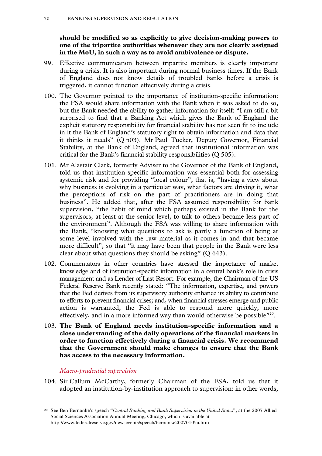**should be modified so as explicitly to give decision-making powers to one of the tripartite authorities whenever they are not clearly assigned in the MoU, in such a way as to avoid ambivalence or dispute.** 

- 99. Effective communication between tripartite members is clearly important during a crisis. It is also important during normal business times. If the Bank of England does not know details of troubled banks before a crisis is triggered, it cannot function effectively during a crisis.
- 100. The Governor pointed to the importance of institution-specific information: the FSA would share information with the Bank when it was asked to do so, but the Bank needed the ability to gather information for itself: "I am still a bit surprised to find that a Banking Act which gives the Bank of England the explicit statutory responsibility for financial stability has not seen fit to include in it the Bank of England's statutory right to obtain information and data that it thinks it needs" (Q 503). Mr Paul Tucker, Deputy Governor, Financial Stability, at the Bank of England, agreed that institutional information was critical for the Bank's financial stability responsibilities (Q 505).
- 101. Mr Alastair Clark, formerly Adviser to the Governor of the Bank of England, told us that institution-specific information was essential both for assessing systemic risk and for providing "local colour", that is, "having a view about why business is evolving in a particular way, what factors are driving it, what the perceptions of risk on the part of practitioners are in doing that business". He added that, after the FSA assumed responsibility for bank supervision, "the habit of mind which perhaps existed in the Bank for the supervisors, at least at the senior level, to talk to others became less part of the environment". Although the FSA was willing to share information with the Bank, "knowing what questions to ask is partly a function of being at some level involved with the raw material as it comes in and that became more difficult", so that "it may have been that people in the Bank were less clear about what questions they should be asking"  $(Q 643)$ .
- 102. Commentators in other countries have stressed the importance of market knowledge and of institution-specific information in a central bank's role in crisis management and as Lender of Last Resort. For example, the Chairman of the US Federal Reserve Bank recently stated: "The information, expertise, and powers that the Fed derives from its supervisory authority enhance its ability to contribute to efforts to prevent financial crises; and, when financial stresses emerge and public action is warranted, the Fed is able to respond more quickly, more effectively, and in a more informed way than would otherwise be possible<sup>"20</sup>.
- 103. **The Bank of England needs institution-specific information and a close understanding of the daily operations of the financial markets in order to function effectively during a financial crisis. We recommend that the Government should make changes to ensure that the Bank has access to the necessary information.**

#### *Macro-prudential supervision*

104. Sir Callum McCarthy, formerly Chairman of the FSA, told us that it adopted an institution-by-institution approach to supervision: in other words,

 <sup>20</sup> See Ben Bernanke's speech "*Central Banking and Bank Supervision in the United States*", at the 2007 Allied Social Sciences Association Annual Meeting, Chicago, which is available at http://www.federalreserve.gov/newsevents/speech/bernanke20070105a.htm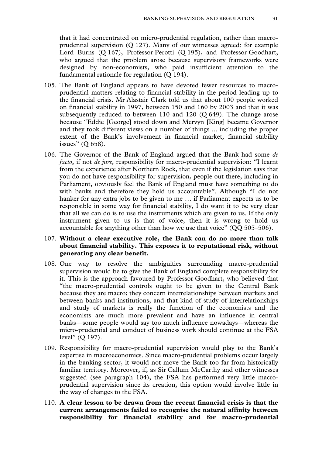that it had concentrated on micro-prudential regulation, rather than macroprudential supervision (Q 127). Many of our witnesses agreed: for example Lord Burns (Q 167), Professor Perotti (Q 195), and Professor Goodhart, who argued that the problem arose because supervisory frameworks were designed by non-economists, who paid insufficient attention to the fundamental rationale for regulation (Q 194).

- 105. The Bank of England appears to have devoted fewer resources to macroprudential matters relating to financial stability in the period leading up to the financial crisis. Mr Alastair Clark told us that about 100 people worked on financial stability in 1997, between 150 and 160 by 2003 and that it was subsequently reduced to between  $110$  and  $120$  (Q 649). The change arose because "Eddie [George] stood down and Mervyn [King] became Governor and they took different views on a number of things ... including the proper extent of the Bank's involvement in financial market, financial stability issues" (Q 658).
- 106. The Governor of the Bank of England argued that the Bank had some *de facto*, if not *de jure*, responsibility for macro-prudential supervision: "I learnt from the experience after Northern Rock, that even if the legislation says that you do not have responsibility for supervision, people out there, including in Parliament, obviously feel the Bank of England must have something to do with banks and therefore they hold us accountable". Although "I do not hanker for any extra jobs to be given to me … if Parliament expects us to be responsible in some way for financial stability, I do want it to be very clear that all we can do is to use the instruments which are given to us. If the only instrument given to us is that of voice, then it is wrong to hold us accountable for anything other than how we use that voice" (QQ 505–506).

# 107. **Without a clear executive role, the Bank can do no more than talk about financial stability. This exposes it to reputational risk, without generating any clear benefit.**

- 108. One way to resolve the ambiguities surrounding macro-prudential supervision would be to give the Bank of England complete responsibility for it. This is the approach favoured by Professor Goodhart, who believed that "the macro-prudential controls ought to be given to the Central Bank because they are macro; they concern interrelationships between markets and between banks and institutions, and that kind of study of interrelationships and study of markets is really the function of the economists and the economists are much more prevalent and have an influence in central banks—some people would say too much influence nowadays—whereas the micro-prudential and conduct of business work should continue at the FSA level" (Q 197).
- 109. Responsibility for macro-prudential supervision would play to the Bank's expertise in macroeconomics. Since macro-prudential problems occur largely in the banking sector, it would not move the Bank too far from historically familiar territory. Moreover, if, as Sir Callum McCarthy and other witnesses suggested (see paragraph 104), the FSA has performed very little macroprudential supervision since its creation, this option would involve little in the way of changes to the FSA.
- 110. **A clear lesson to be drawn from the recent financial crisis is that the current arrangements failed to recognise the natural affinity between responsibility for financial stability and for macro-prudential**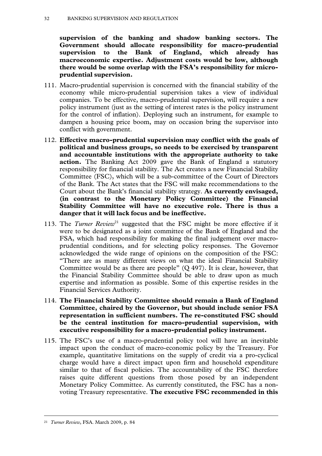**supervision of the banking and shadow banking sectors. The Government should allocate responsibility for macro-prudential supervision to the Bank of England, which already has macroeconomic expertise. Adjustment costs would be low, although there would be some overlap with the FSA's responsibility for microprudential supervision.** 

- 111. Macro-prudential supervision is concerned with the financial stability of the economy while micro-prudential supervision takes a view of individual companies. To be effective, macro-prudential supervision, will require a new policy instrument (just as the setting of interest rates is the policy instrument for the control of inflation). Deploying such an instrument, for example to dampen a housing price boom, may on occasion bring the supervisor into conflict with government.
- 112. **Effective macro-prudential supervision may conflict with the goals of political and business groups, so needs to be exercised by transparent and accountable institutions with the appropriate authority to take action.** The Banking Act 2009 gave the Bank of England a statutory responsibility for financial stability. The Act creates a new Financial Stability Committee (FSC), which will be a sub-committee of the Court of Directors of the Bank. The Act states that the FSC will make recommendations to the Court about the Bank's financial stability strategy. **As currently envisaged, (in contrast to the Monetary Policy Committee) the Financial Stability Committee will have no executive role. There is thus a danger that it will lack focus and be ineffective.**
- 113. The *Turner Review*<sup>21</sup> suggested that the FSC might be more effective if it were to be designated as a joint committee of the Bank of England and the FSA, which had responsibility for making the final judgement over macroprudential conditions, and for selecting policy responses. The Governor acknowledged the wide range of opinions on the composition of the FSC: "There are as many different views on what the ideal Financial Stability Committee would be as there are people" (Q 497). It is clear, however, that the Financial Stability Committee should be able to draw upon as much expertise and information as possible. Some of this expertise resides in the Financial Services Authority.
- 114. **The Financial Stability Committee should remain a Bank of England Committee, chaired by the Governor, but should include senior FSA representation in sufficient numbers. The re-constituted FSC should be the central institution for macro-prudential supervision, with executive responsibility for a macro-prudential policy instrument.**
- 115. The FSC's use of a macro-prudential policy tool will have an inevitable impact upon the conduct of macro-economic policy by the Treasury. For example, quantitative limitations on the supply of credit via a pro-cyclical charge would have a direct impact upon firm and household expenditure similar to that of fiscal policies. The accountability of the FSC therefore raises quite different questions from those posed by an independent Monetary Policy Committee. As currently constituted, the FSC has a nonvoting Treasury representative. **The executive FSC recommended in this**

 <sup>21</sup> *Turner Review*, FSA. March 2009, p. 84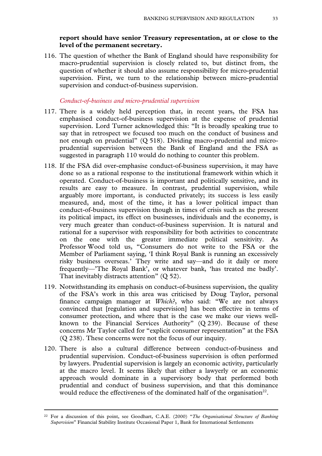### **report should have senior Treasury representation, at or close to the level of the permanent secretary.**

116. The question of whether the Bank of England should have responsibility for macro-prudential supervision is closely related to, but distinct from, the question of whether it should also assume responsibility for micro-prudential supervision. First, we turn to the relationship between micro-prudential supervision and conduct-of-business supervision.

#### *Conduct-of-business and micro-prudential supervision*

- 117. There is a widely held perception that, in recent years, the FSA has emphasised conduct-of-business supervision at the expense of prudential supervision. Lord Turner acknowledged this: "It is broadly speaking true to say that in retrospect we focused too much on the conduct of business and not enough on prudential" (Q 518). Dividing macro-prudential and microprudential supervision between the Bank of England and the FSA as suggested in paragraph 110 would do nothing to counter this problem.
- 118. If the FSA did over-emphasise conduct-of-business supervision, it may have done so as a rational response to the institutional framework within which it operated. Conduct-of-business is important and politically sensitive, and its results are easy to measure. In contrast, prudential supervision, while arguably more important, is conducted privately; its success is less easily measured, and, most of the time, it has a lower political impact than conduct-of-business supervision though in times of crisis such as the present its political impact, its effect on businesses, individuals and the economy, is very much greater than conduct-of-business supervision. It is natural and rational for a supervisor with responsibility for both activities to concentrate on the one with the greater immediate political sensitivity. As Professor Wood told us, "Consumers do not write to the FSA or the Member of Parliament saying, 'I think Royal Bank is running an excessively risky business overseas.' They write and say—and do it daily or more frequently—'The Royal Bank', or whatever bank, 'has treated me badly'. That inevitably distracts attention" (O 52).
- 119. Notwithstanding its emphasis on conduct-of-business supervision, the quality of the FSA's work in this area was criticised by Doug Taylor, personal finance campaign manager at *Which?*, who said: "We are not always convinced that [regulation and supervision] has been effective in terms of consumer protection, and where that is the case we make our views wellknown to the Financial Services Authority" (Q 239). Because of these concerns Mr Taylor called for "explicit consumer representation" at the FSA (Q 238). These concerns were not the focus of our inquiry.
- 120. There is also a cultural difference between conduct-of-business and prudential supervision. Conduct-of-business supervision is often performed by lawyers. Prudential supervision is largely an economic activity, particularly at the macro level. It seems likely that either a lawyerly or an economic approach would dominate in a supervisory body that performed both prudential and conduct of business supervision, and that this dominance would reduce the effectiveness of the dominated half of the organisation<sup>22</sup>.

 <sup>22</sup> For a discussion of this point, see Goodhart, C.A.E. (2000) "*The Organisational Structure of Banking Supervision*" Financial Stability Institute Occasional Paper 1, Bank for International Settlements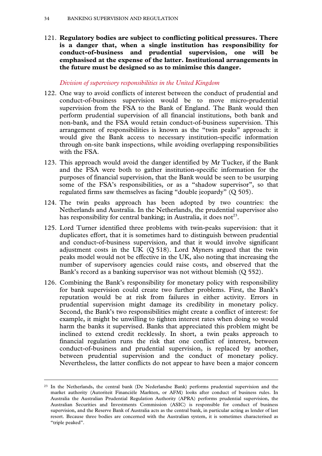121. **Regulatory bodies are subject to conflicting political pressures. There is a danger that, when a single institution has responsibility for conduct-of-business and prudential supervision, one will be emphasised at the expense of the latter. Institutional arrangements in the future must be designed so as to minimise this danger.** 

# *Division of supervisory responsibilities in the United Kingdom*

- 122. One way to avoid conflicts of interest between the conduct of prudential and conduct-of-business supervision would be to move micro-prudential supervision from the FSA to the Bank of England. The Bank would then perform prudential supervision of all financial institutions, both bank and non-bank, and the FSA would retain conduct-of-business supervision. This arrangement of responsibilities is known as the "twin peaks" approach: it would give the Bank access to necessary institution-specific information through on-site bank inspections, while avoiding overlapping responsibilities with the FSA.
- 123. This approach would avoid the danger identified by Mr Tucker, if the Bank and the FSA were both to gather institution-specific information for the purposes of financial supervision, that the Bank would be seen to be usurping some of the FSA's responsibilities, or as a "shadow supervisor", so that regulated firms saw themselves as facing "double jeopardy" (Q 505).
- 124. The twin peaks approach has been adopted by two countries: the Netherlands and Australia. In the Netherlands, the prudential supervisor also has responsibility for central banking; in Australia, it does not<sup>23</sup>.
- 125. Lord Turner identified three problems with twin-peaks supervision: that it duplicates effort, that it is sometimes hard to distinguish between prudential and conduct-of-business supervision, and that it would involve significant adjustment costs in the UK  $(Q 518)$ . Lord Myners argued that the twin peaks model would not be effective in the UK, also noting that increasing the number of supervisory agencies could raise costs, and observed that the Bank's record as a banking supervisor was not without blemish (Q 552).
- 126. Combining the Bank's responsibility for monetary policy with responsibility for bank supervision could create two further problems. First, the Bank's reputation would be at risk from failures in either activity. Errors in prudential supervision might damage its credibility in monetary policy. Second, the Bank's two responsibilities might create a conflict of interest: for example, it might be unwilling to tighten interest rates when doing so would harm the banks it supervised. Banks that appreciated this problem might be inclined to extend credit recklessly. In short, a twin peaks approach to financial regulation runs the risk that one conflict of interest, between conduct-of-business and prudential supervision, is replaced by another, between prudential supervision and the conduct of monetary policy. Nevertheless, the latter conflicts do not appear to have been a major concern

<sup>&</sup>lt;sup>23</sup> In the Netherlands, the central bank (De Nederlandse Bank) performs prudential supervision and the market authority (Autoriteit Financiële Markten, or AFM) looks after conduct of business rules. In Australia the Australian Prudential Regulation Authority (APRA) performs prudential supervision, the Australian Securities and Investments Commission (ASIC) is responsible for conduct of business supervision, and the Reserve Bank of Australia acts as the central bank, in particular acting as lender of last resort. Because three bodies are concerned with the Australian system, it is sometimes characterised as "triple peaked".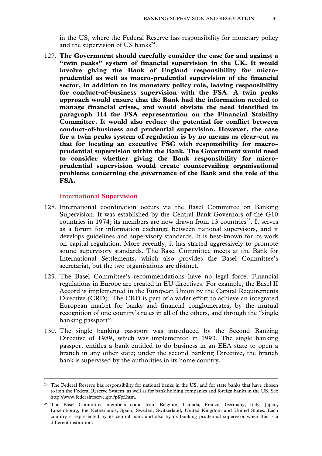in the US, where the Federal Reserve has responsibility for monetary policy and the supervision of US banks $^{24}$ .

127. **The Government should carefully consider the case for and against a "twin peaks" system of financial supervision in the UK. It would involve giving the Bank of England responsibility for microprudential as well as macro-prudential supervision of the financial sector, in addition to its monetary policy role, leaving responsibility for conduct-of-business supervision with the FSA. A twin peaks approach would ensure that the Bank had the information needed to manage financial crises, and would obviate the need identified in paragraph 114 for FSA representation on the Financial Stability Committee. It would also reduce the potential for conflict between conduct-of-business and prudential supervision. However, the case for a twin peaks system of regulation is by no means as clear-cut as that for locating an executive FSC with responsibility for macroprudential supervision within the Bank. The Government would need to consider whether giving the Bank responsibility for microprudential supervision would create countervailing organisational problems concerning the governance of the Bank and the role of the FSA.** 

#### **International Supervision**

- 128. International coordination occurs via the Basel Committee on Banking Supervision. It was established by the Central Bank Governors of the G10 countries in 1974; its members are now drawn from 13 countries<sup>25</sup>. It serves as a forum for information exchange between national supervisors, and it develops guidelines and supervisory standards. It is best-known for its work on capital regulation. More recently, it has started aggressively to promote sound supervisory standards. The Basel Committee meets at the Bank for International Settlements, which also provides the Basel Committee's secretariat, but the two organisations are distinct.
- 129. The Basel Committee's recommendations have no legal force. Financial regulations in Europe are created in EU directives. For example, the Basel II Accord is implemented in the European Union by the Capital Requirements Directive (CRD). The CRD is part of a wider effort to achieve an integrated European market for banks and financial conglomerates, by the mutual recognition of one country's rules in all of the others, and through the "single banking passport".
- 130. The single banking passport was introduced by the Second Banking Directive of 1989, which was implemented in 1993. The single banking passport entitles a bank entitled to do business in an EEA state to open a branch in any other state; under the second banking Directive, the branch bank is supervised by the authorities in its home country.

<sup>&</sup>lt;sup>24</sup> The Federal Reserve has responsibility for national banks in the US, and for state banks that have chosen to join the Federal Reserve System, as well as for bank holding companies and foreign banks in the US. See http://www.federalreserve.gov/pf/pf.htm.

<sup>25</sup> The Basel Committee members come from Belgium, Canada, France, Germany, Italy, Japan, Luxembourg, the Netherlands, Spain, Sweden, Switzerland, United Kingdom and United States. Each country is represented by its central bank and also by its banking prudential supervisor when this is a different institution.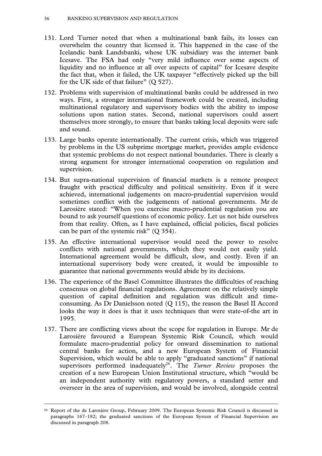- 131. Lord Turner noted that when a multinational bank fails, its losses can overwhelm the country that licensed it. This happened in the case of the Icelandic bank Landsbanki, whose UK subsidiary was the internet bank Icesave. The FSA had only "very mild influence over some aspects of liquidity and no influence at all over aspects of capital" for Icesave despite the fact that, when it failed, the UK taxpayer "effectively picked up the bill for the UK side of that failure"  $(Q 527)$ .
- 132. Problems with supervision of multinational banks could be addressed in two ways. First, a stronger international framework could be created, including multinational regulatory and supervisory bodies with the ability to impose solutions upon nation states. Second, national supervisors could assert themselves more strongly, to ensure that banks taking local deposits were safe and sound.
- 133. Large banks operate internationally. The current crisis, which was triggered by problems in the US subprime mortgage market, provides ample evidence that systemic problems do not respect national boundaries. There is clearly a strong argument for stronger international cooperation on regulation and supervision.
- 134. But supra-national supervision of financial markets is a remote prospect fraught with practical difficulty and political sensitivity. Even if it were achieved, international judgements on macro-prudential supervision would sometimes conflict with the judgements of national governments. Mr de Larosière stated: "When you exercise macro-prudential regulation you are bound to ask yourself questions of economic policy. Let us not hide ourselves from that reality. Often, as I have explained, official policies, fiscal policies can be part of the systemic risk" (Q 354).
- 135. An effective international supervisor would need the power to resolve conflicts with national governments, which they would not easily yield. International agreement would be difficult, slow, and costly. Even if an international supervisory body were created, it would be impossible to guarantee that national governments would abide by its decisions.
- 136. The experience of the Basel Committee illustrates the difficulties of reaching consensus on global financial regulations. Agreement on the relatively simple question of capital definition and regulation was difficult and timeconsuming. As Dr Danielsson noted (Q 115), the reason the Basel II Accord looks the way it does is that it uses techniques that were state-of-the art in 1995.
- 137. There are conflicting views about the scope for regulation in Europe. Mr de Larosière favoured a European Systemic Risk Council, which would formulate macro-prudential policy for onward dissemination to national central banks for action, and a new European System of Financial Supervision, which would be able to apply "graduated sanctions" if national supervisors performed inadequately<sup>26</sup>. The *Turner Review* proposes the creation of a new European Union Institutional structure, which "would be an independent authority with regulatory powers, a standard setter and overseer in the area of supervision, and would be involved, alongside central

 <sup>26</sup> Report of the de Larosière Group, February 2009. The European Systemic Risk Council is discussed in paragraphs 167–182; the graduated sanctions of the European System of Financial Supervision are discussed in paragraph 208.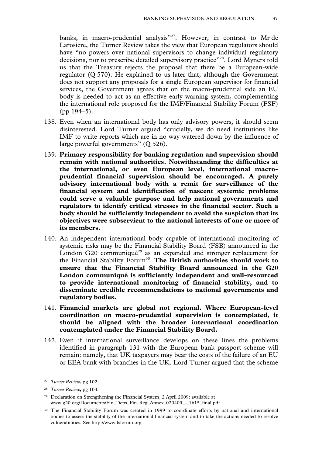banks, in macro-prudential analysis"<sup>27</sup>. However, in contrast to Mr de Larosière, the Turner Review takes the view that European regulators should have "no powers over national supervisors to change individual regulatory decisions, nor to prescribe detailed supervisory practice"<sup>28</sup>. Lord Myners told us that the Treasury rejects the proposal that there be a European-wide regulator (Q 570). He explained to us later that, although the Government does not support any proposals for a single European supervisor for financial services, the Government agrees that on the macro-prudential side an EU body is needed to act as an effective early warning system, complementing the international role proposed for the IMF/Financial Stability Forum (FSF) (pp 194–5).

- 138. Even when an international body has only advisory powers, it should seem disinterested. Lord Turner argued "crucially, we do need institutions like IMF to write reports which are in no way watered down by the influence of large powerful governments" (Q 526).
- 139. **Primary responsibility for banking regulation and supervision should remain with national authorities. Notwithstanding the difficulties at the international, or even European level, international macroprudential financial supervision should be encouraged. A purely advisory international body with a remit for surveillance of the financial system and identification of nascent systemic problems could serve a valuable purpose and help national governments and regulators to identify critical stresses in the financial sector. Such a body should be sufficiently independent to avoid the suspicion that its objectives were subservient to the national interests of one or more of its members.**
- 140. An independent international body capable of international monitoring of systemic risks may be the Financial Stability Board (FSB) announced in the London G20 communiqué<sup>29</sup> as an expanded and stronger replacement for the Financial Stability Forum<sup>30</sup>. The British authorities should work to **ensure that the Financial Stability Board announced in the G20 London communiqué is sufficiently independent and well-resourced to provide international monitoring of financial stability, and to disseminate credible recommendations to national governments and regulatory bodies.**
- 141. **Financial markets are global not regional. Where European-level coordination on macro-prudential supervision is contemplated, it should be aligned with the broader international coordination contemplated under the Financial Stability Board.**
- 142. Even if international surveillance develops on these lines the problems identified in paragraph 131 with the European bank passport scheme will remain: namely, that UK taxpayers may bear the costs of the failure of an EU or EEA bank with branches in the UK. Lord Turner argued that the scheme

 <sup>27</sup> *Turner Review*, pg 102.

<sup>28</sup> *Turner Review*, pg 103.

<sup>29</sup> Declaration on Strengthening the Financial System, 2 April 2009: available at www.g20.org/Documents/Fin\_Deps\_Fin\_Reg\_Annex\_020409\_-\_1615\_final.pdf

<sup>30</sup> The Financial Stability Forum was created in 1999 to coordinate efforts by national and international bodies to assess the stability of the international financial system and to take the actions needed to resolve vulnerabilities. See http://www.fsforum.org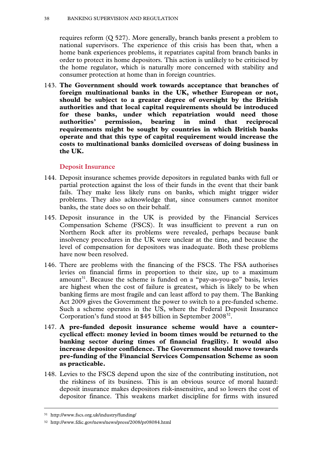requires reform (Q 527). More generally, branch banks present a problem to national supervisors. The experience of this crisis has been that, when a home bank experiences problems, it repatriates capital from branch banks in order to protect its home depositors. This action is unlikely to be criticised by the home regulator, which is naturally more concerned with stability and consumer protection at home than in foreign countries.

143. **The Government should work towards acceptance that branches of foreign multinational banks in the UK, whether European or not, should be subject to a greater degree of oversight by the British authorities and that local capital requirements should be introduced for these banks, under which repatriation would need those authorities' permission, bearing in mind that reciprocal requirements might be sought by countries in which British banks operate and that this type of capital requirement would increase the costs to multinational banks domiciled overseas of doing business in the UK.** 

#### **Deposit Insurance**

- 144. Deposit insurance schemes provide depositors in regulated banks with full or partial protection against the loss of their funds in the event that their bank fails. They make less likely runs on banks, which might trigger wider problems. They also acknowledge that, since consumers cannot monitor banks, the state does so on their behalf.
- 145. Deposit insurance in the UK is provided by the Financial Services Compensation Scheme (FSCS). It was insufficient to prevent a run on Northern Rock after its problems were revealed, perhaps because bank insolvency procedures in the UK were unclear at the time, and because the level of compensation for depositors was inadequate. Both these problems have now been resolved.
- 146. There are problems with the financing of the FSCS. The FSA authorises levies on financial firms in proportion to their size, up to a maximum amount<sup>31</sup>. Because the scheme is funded on a "pay-as-you-go" basis, levies are highest when the cost of failure is greatest, which is likely to be when banking firms are most fragile and can least afford to pay them. The Banking Act 2009 gives the Government the power to switch to a pre-funded scheme. Such a scheme operates in the US, where the Federal Deposit Insurance Corporation's fund stood at \$45 billion in September 2008<sup>32</sup>.
- 147. **A pre-funded deposit insurance scheme would have a countercyclical effect: money levied in boom times would be returned to the banking sector during times of financial fragility. It would also increase depositor confidence. The Government should move towards pre-funding of the Financial Services Compensation Scheme as soon as practicable.**
- 148. Levies to the FSCS depend upon the size of the contributing institution, not the riskiness of its business. This is an obvious source of moral hazard: deposit insurance makes depositors risk-insensitive, and so lowers the cost of depositor finance. This weakens market discipline for firms with insured

 <sup>31</sup> http://www.fscs.org.uk/industry/funding/

<sup>32</sup> http://www.fdic.gov/news/news/press/2008/pr08084.html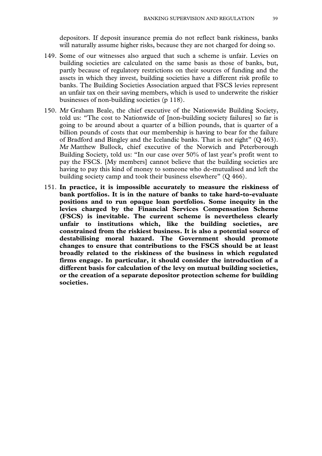depositors. If deposit insurance premia do not reflect bank riskiness, banks will naturally assume higher risks, because they are not charged for doing so.

- 149. Some of our witnesses also argued that such a scheme is unfair. Levies on building societies are calculated on the same basis as those of banks, but, partly because of regulatory restrictions on their sources of funding and the assets in which they invest, building societies have a different risk profile to banks. The Building Societies Association argued that FSCS levies represent an unfair tax on their saving members, which is used to underwrite the riskier businesses of non-building societies (p 118).
- 150. Mr Graham Beale, the chief executive of the Nationwide Building Society, told us: "The cost to Nationwide of [non-building society failures] so far is going to be around about a quarter of a billion pounds, that is quarter of a billion pounds of costs that our membership is having to bear for the failure of Bradford and Bingley and the Icelandic banks. That is not right" (Q 463). Mr Matthew Bullock, chief executive of the Norwich and Peterborough Building Society, told us: "In our case over 50% of last year's profit went to pay the FSCS. [My members] cannot believe that the building societies are having to pay this kind of money to someone who de-mutualised and left the building society camp and took their business elsewhere" (Q 466).
- 151. **In practice, it is impossible accurately to measure the riskiness of bank portfolios. It is in the nature of banks to take hard-to-evaluate positions and to run opaque loan portfolios. Some inequity in the levies charged by the Financial Services Compensation Scheme (FSCS) is inevitable. The current scheme is nevertheless clearly unfair to institutions which, like the building societies, are constrained from the riskiest business. It is also a potential source of destabilising moral hazard. The Government should promote changes to ensure that contributions to the FSCS should be at least broadly related to the riskiness of the business in which regulated firms engage. In particular, it should consider the introduction of a different basis for calculation of the levy on mutual building societies, or the creation of a separate depositor protection scheme for building societies.**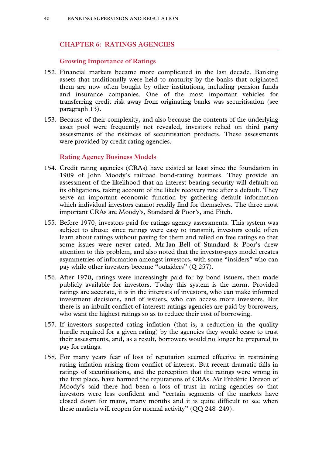# **CHAPTER 6: RATINGS AGENCIES**

#### **Growing Importance of Ratings**

- 152. Financial markets became more complicated in the last decade. Banking assets that traditionally were held to maturity by the banks that originated them are now often bought by other institutions, including pension funds and insurance companies. One of the most important vehicles for transferring credit risk away from originating banks was securitisation (see paragraph 13).
- 153. Because of their complexity, and also because the contents of the underlying asset pool were frequently not revealed, investors relied on third party assessments of the riskiness of securitisation products. These assessments were provided by credit rating agencies.

#### **Rating Agency Business Models**

- 154. Credit rating agencies (CRAs) have existed at least since the foundation in 1909 of John Moody's railroad bond-rating business. They provide an assessment of the likelihood that an interest-bearing security will default on its obligations, taking account of the likely recovery rate after a default. They serve an important economic function by gathering default information which individual investors cannot readily find for themselves. The three most important CRAs are Moody's, Standard & Poor's, and Fitch.
- 155. Before 1970, investors paid for ratings agency assessments. This system was subject to abuse: since ratings were easy to transmit, investors could often learn about ratings without paying for them and relied on free ratings so that some issues were never rated. Mr Ian Bell of Standard & Poor's drew attention to this problem, and also noted that the investor-pays model creates asymmetries of information amongst investors, with some "insiders" who can pay while other investors become "outsiders" (Q 257).
- 156. After 1970, ratings were increasingly paid for by bond issuers, then made publicly available for investors. Today this system is the norm. Provided ratings are accurate, it is in the interests of investors, who can make informed investment decisions, and of issuers, who can access more investors. But there is an inbuilt conflict of interest: ratings agencies are paid by borrowers, who want the highest ratings so as to reduce their cost of borrowing.
- 157. If investors suspected rating inflation (that is, a reduction in the quality hurdle required for a given rating) by the agencies they would cease to trust their assessments, and, as a result, borrowers would no longer be prepared to pay for ratings.
- 158. For many years fear of loss of reputation seemed effective in restraining rating inflation arising from conflict of interest. But recent dramatic falls in ratings of securitisations, and the perception that the ratings were wrong in the first place, have harmed the reputations of CRAs. Mr Frédéric Drevon of Moody's said there had been a loss of trust in rating agencies so that investors were less confident and "certain segments of the markets have closed down for many, many months and it is quite difficult to see when these markets will reopen for normal activity" (QQ 248–249).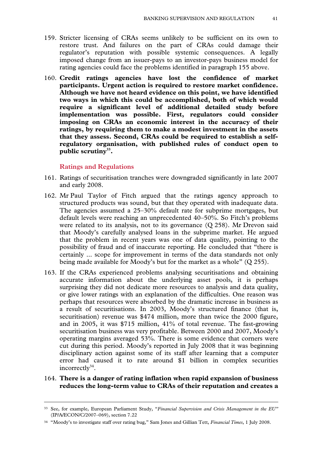- 159. Stricter licensing of CRAs seems unlikely to be sufficient on its own to restore trust. And failures on the part of CRAs could damage their regulator's reputation with possible systemic consequences. A legally imposed change from an issuer-pays to an investor-pays business model for rating agencies could face the problems identified in paragraph 155 above.
- 160. **Credit ratings agencies have lost the confidence of market participants. Urgent action is required to restore market confidence. Although we have not heard evidence on this point, we have identified two ways in which this could be accomplished, both of which would require a significant level of additional detailed study before implementation was possible. First, regulators could consider imposing on CRAs an economic interest in the accuracy of their ratings, by requiring them to make a modest investment in the assets that they assess. Second, CRAs could be required to establish a selfregulatory organisation, with published rules of conduct open to public scrutiny33.**

#### **Ratings and Regulations**

- 161. Ratings of securitisation tranches were downgraded significantly in late 2007 and early 2008.
- 162. Mr Paul Taylor of Fitch argued that the ratings agency approach to structured products was sound, but that they operated with inadequate data. The agencies assumed a 25–30% default rate for subprime mortgages, but default levels were reaching an unprecedented 40–50%. So Fitch's problems were related to its analysis, not to its governance (Q 258). Mr Drevon said that Moody's carefully analysed loans in the subprime market. He argued that the problem in recent years was one of data quality, pointing to the possibility of fraud and of inaccurate reporting. He concluded that "there is certainly ... scope for improvement in terms of the data standards not only being made available for Moody's but for the market as a whole" (Q 255).
- 163. If the CRAs experienced problems analysing securitisations and obtaining accurate information about the underlying asset pools, it is perhaps surprising they did not dedicate more resources to analysis and data quality, or give lower ratings with an explanation of the difficulties. One reason was perhaps that resources were absorbed by the dramatic increase in business as a result of securitisations. In 2003, Moody's structured finance (that is, securitisation) revenue was \$474 million, more than twice the 2000 figure, and in 2005, it was \$715 million, 41% of total revenue. The fast-growing securitisation business was very profitable. Between 2000 and 2007, Moody's operating margins averaged 53%. There is some evidence that corners were cut during this period. Moody's reported in July 2008 that it was beginning disciplinary action against some of its staff after learning that a computer error had caused it to rate around \$1 billion in complex securities incorrectly $34$ .

#### 164. **There is a danger of rating inflation when rapid expansion of business reduces the long-term value to CRAs of their reputation and creates a**

 <sup>33</sup> See, for example, European Parliament Study, "*Financial Supervision and Crisis Management in the EU"* (IP/A/ECON/C/2007–069), section 7.22

<sup>34 &</sup>quot;Moody's to investigate staff over rating bug," Sam Jones and Gillian Tett, *Financial Times*, 1 July 2008.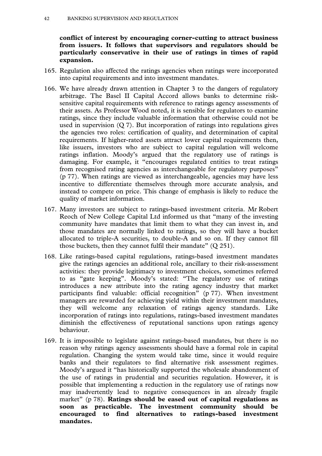**conflict of interest by encouraging corner-cutting to attract business from issuers. It follows that supervisors and regulators should be particularly conservative in their use of ratings in times of rapid expansion.** 

- 165. Regulation also affected the ratings agencies when ratings were incorporated into capital requirements and into investment mandates.
- 166. We have already drawn attention in Chapter 3 to the dangers of regulatory arbitrage. The Basel II Capital Accord allows banks to determine risksensitive capital requirements with reference to ratings agency assessments of their assets. As Professor Wood noted, it is sensible for regulators to examine ratings, since they include valuable information that otherwise could not be used in supervision (Q 7). But incorporation of ratings into regulations gives the agencies two roles: certification of quality, and determination of capital requirements. If higher-rated assets attract lower capital requirements then, like issuers, investors who are subject to capital regulation will welcome ratings inflation. Moody's argued that the regulatory use of ratings is damaging. For example, it "encourages regulated entities to treat ratings from recognised rating agencies as interchangeable for regulatory purposes" (p 77). When ratings are viewed as interchangeable, agencies may have less incentive to differentiate themselves through more accurate analysis, and instead to compete on price. This change of emphasis is likely to reduce the quality of market information.
- 167. Many investors are subject to ratings-based investment criteria. Mr Robert Reoch of New College Capital Ltd informed us that "many of the investing community have mandates that limit them to what they can invest in, and those mandates are normally linked to ratings, so they will have a bucket allocated to triple-A securities, to double-A and so on. If they cannot fill those buckets, then they cannot fulfil their mandate" (Q 251).
- 168. Like ratings-based capital regulations, ratings-based investment mandates give the ratings agencies an additional role, ancillary to their risk-assessment activities: they provide legitimacy to investment choices, sometimes referred to as "gate keeping". Moody's stated: "The regulatory use of ratings introduces a new attribute into the rating agency industry that market participants find valuable: official recognition" (p 77). When investment managers are rewarded for achieving yield within their investment mandates, they will welcome any relaxation of ratings agency standards. Like incorporation of ratings into regulations, ratings-based investment mandates diminish the effectiveness of reputational sanctions upon ratings agency behaviour.
- 169. It is impossible to legislate against ratings-based mandates, but there is no reason why ratings agency assessments should have a formal role in capital regulation. Changing the system would take time, since it would require banks and their regulators to find alternative risk assessment regimes. Moody's argued it "has historically supported the wholesale abandonment of the use of ratings in prudential and securities regulation. However, it is possible that implementing a reduction in the regulatory use of ratings now may inadvertently lead to negative consequences in an already fragile market" (p 78). **Ratings should be eased out of capital regulations as soon as practicable. The investment community should be encouraged to find alternatives to ratings-based investment mandates.**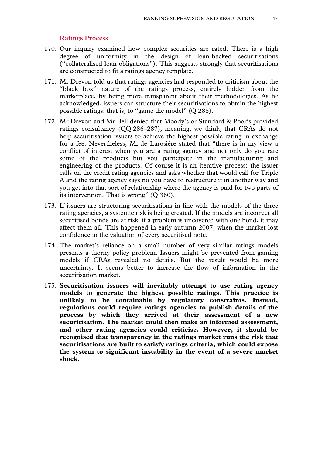#### **Ratings Process**

- 170. Our inquiry examined how complex securities are rated. There is a high degree of uniformity in the design of loan-backed securitisations ("collateralised loan obligations"). This suggests strongly that securitisations are constructed to fit a ratings agency template.
- 171. Mr Drevon told us that ratings agencies had responded to criticism about the "black box" nature of the ratings process, entirely hidden from the marketplace, by being more transparent about their methodologies. As he acknowledged, issuers can structure their securitisations to obtain the highest possible ratings: that is, to "game the model" (Q 288).
- 172. Mr Drevon and Mr Bell denied that Moody's or Standard & Poor's provided ratings consultancy (QQ 286–287), meaning, we think, that CRAs do not help securitisation issuers to achieve the highest possible rating in exchange for a fee. Nevertheless, Mr de Larosière stated that "there is in my view a conflict of interest when you are a rating agency and not only do you rate some of the products but you participate in the manufacturing and engineering of the products. Of course it is an iterative process: the issuer calls on the credit rating agencies and asks whether that would call for Triple A and the rating agency says no you have to restructure it in another way and you get into that sort of relationship where the agency is paid for two parts of its intervention. That is wrong" (Q 360).
- 173. If issuers are structuring securitisations in line with the models of the three rating agencies, a systemic risk is being created. If the models are incorrect all securitised bonds are at risk: if a problem is uncovered with one bond, it may affect them all. This happened in early autumn 2007, when the market lost confidence in the valuation of every securitised note.
- 174. The market's reliance on a small number of very similar ratings models presents a thorny policy problem. Issuers might be prevented from gaming models if CRAs revealed no details. But the result would be more uncertainty. It seems better to increase the flow of information in the securitisation market.
- 175. **Securitisation issuers will inevitably attempt to use rating agency models to generate the highest possible ratings. This practice is unlikely to be containable by regulatory constraints. Instead, regulations could require ratings agencies to publish details of the process by which they arrived at their assessment of a new securitisation. The market could then make an informed assessment, and other rating agencies could criticise. However, it should be recognised that transparency in the ratings market runs the risk that securitisations are built to satisfy ratings criteria, which could expose the system to significant instability in the event of a severe market shock.**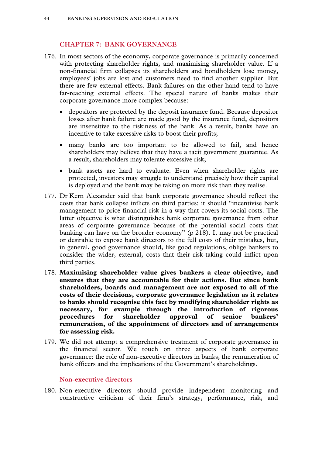# **CHAPTER 7: BANK GOVERNANCE**

- 176. In most sectors of the economy, corporate governance is primarily concerned with protecting shareholder rights, and maximising shareholder value. If a non-financial firm collapses its shareholders and bondholders lose money, employees' jobs are lost and customers need to find another supplier. But there are few external effects. Bank failures on the other hand tend to have far-reaching external effects. The special nature of banks makes their corporate governance more complex because:
	- depositors are protected by the deposit insurance fund. Because depositor losses after bank failure are made good by the insurance fund, depositors are insensitive to the riskiness of the bank. As a result, banks have an incentive to take excessive risks to boost their profits;
	- many banks are too important to be allowed to fail, and hence shareholders may believe that they have a tacit government guarantee. As a result, shareholders may tolerate excessive risk;
	- bank assets are hard to evaluate. Even when shareholder rights are protected, investors may struggle to understand precisely how their capital is deployed and the bank may be taking on more risk than they realise.
- 177. Dr Kern Alexander said that bank corporate governance should reflect the costs that bank collapse inflicts on third parties: it should "incentivise bank management to price financial risk in a way that covers its social costs. The latter objective is what distinguishes bank corporate governance from other areas of corporate governance because of the potential social costs that banking can have on the broader economy" (p 218). It may not be practical or desirable to expose bank directors to the full costs of their mistakes, but, in general, good governance should, like good regulations, oblige bankers to consider the wider, external, costs that their risk-taking could inflict upon third parties.
- 178. **Maximising shareholder value gives bankers a clear objective, and ensures that they are accountable for their actions. But since bank shareholders, boards and management are not exposed to all of the costs of their decisions, corporate governance legislation as it relates to banks should recognise this fact by modifying shareholder rights as necessary, for example through the introduction of rigorous procedures for shareholder approval of senior bankers' remuneration, of the appointment of directors and of arrangements for assessing risk.**
- 179. We did not attempt a comprehensive treatment of corporate governance in the financial sector. We touch on three aspects of bank corporate governance: the role of non-executive directors in banks, the remuneration of bank officers and the implications of the Government's shareholdings.

# **Non-executive directors**

180. Non-executive directors should provide independent monitoring and constructive criticism of their firm's strategy, performance, risk, and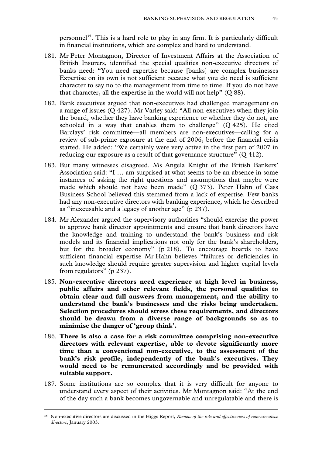personnel<sup>35</sup>. This is a hard role to play in any firm. It is particularly difficult in financial institutions, which are complex and hard to understand.

- 181. Mr Peter Montagnon, Director of Investment Affairs at the Association of British Insurers, identified the special qualities non-executive directors of banks need: "You need expertise because [banks] are complex businesses Expertise on its own is not sufficient because what you do need is sufficient character to say no to the management from time to time. If you do not have that character, all the expertise in the world will not help" (Q 88).
- 182. Bank executives argued that non-executives had challenged management on a range of issues (Q 427). Mr Varley said: "All non-executives when they join the board, whether they have banking experience or whether they do not, are schooled in a way that enables them to challenge"  $(Q 425)$ . He cited Barclays' risk committee—all members are non-executives—calling for a review of sub-prime exposure at the end of 2006, before the financial crisis started. He added: "We certainly were very active in the first part of 2007 in reducing our exposure as a result of that governance structure" (Q 412).
- 183. But many witnesses disagreed. Ms Angela Knight of the British Bankers' Association said: "I … am surprised at what seems to be an absence in some instances of asking the right questions and assumptions that maybe were made which should not have been made" (Q 373). Peter Hahn of Cass Business School believed this stemmed from a lack of expertise. Few banks had any non-executive directors with banking experience, which he described as "inexcusable and a legacy of another age" (p 237).
- 184. Mr Alexander argued the supervisory authorities "should exercise the power to approve bank director appointments and ensure that bank directors have the knowledge and training to understand the bank's business and risk models and its financial implications not only for the bank's shareholders, but for the broader economy" (p 218). To encourage boards to have sufficient financial expertise Mr Hahn believes "failures or deficiencies in such knowledge should require greater supervision and higher capital levels from regulators" (p 237).
- 185. **Non-executive directors need experience at high level in business, public affairs and other relevant fields, the personal qualities to obtain clear and full answers from management, and the ability to understand the bank's businesses and the risks being undertaken. Selection procedures should stress these requirements, and directors should be drawn from a diverse range of backgrounds so as to minimise the danger of 'group think'.**
- 186. **There is also a case for a risk committee comprising non-executive directors with relevant expertise, able to devote significantly more time than a conventional non-executive, to the assessment of the bank's risk profile, independently of the bank's executives. They would need to be remunerated accordingly and be provided with suitable support.**
- 187. Some institutions are so complex that it is very difficult for anyone to understand every aspect of their activities. Mr Montagnon said: "At the end of the day such a bank becomes ungovernable and unregulatable and there is

 <sup>35</sup> Non-executive directors are discussed in the Higgs Report, *Review of the role and effectiveness of non-executive directors*, January 2003.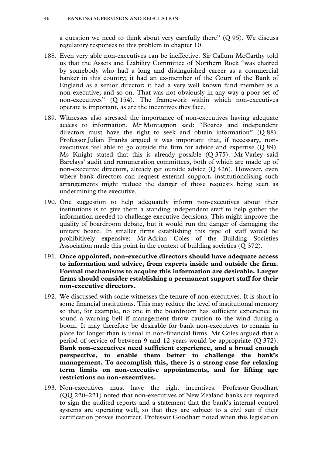a question we need to think about very carefully there"  $(Q 95)$ . We discuss regulatory responses to this problem in chapter 10.

- 188. Even very able non-executives can be ineffective. Sir Callum McCarthy told us that the Assets and Liability Committee of Northern Rock "was chaired by somebody who had a long and distinguished career as a commercial banker in this country; it had an ex-member of the Court of the Bank of England as a senior director; it had a very well known fund member as a non-executive; and so on. That was not obviously in any way a poor set of non-executives" (Q 154). The framework within which non-executives operate is important, as are the incentives they face.
- 189. Witnesses also stressed the importance of non-executives having adequate access to information. Mr Montagnon said: "Boards and independent directors must have the right to seek and obtain information" (Q 88). Professor Julian Franks argued it was important that, if necessary, nonexecutives feel able to go outside the firm for advice and expertise (Q 89). Ms Knight stated that this is already possible (Q 375). Mr Varley said Barclays' audit and remuneration committees, both of which are made up of non-executive directors, already get outside advice (Q 426). However, even where bank directors can request external support, institutionalising such arrangements might reduce the danger of those requests being seen as undermining the executive.
- 190. One suggestion to help adequately inform non-executives about their institutions is to give them a standing independent staff to help gather the information needed to challenge executive decisions. This might improve the quality of boardroom debate, but it would run the danger of damaging the unitary board. In smaller firms establishing this type of staff would be prohibitively expensive: Mr Adrian Coles of the Building Societies Association made this point in the context of building societies (Q 372).
- 191. **Once appointed, non-executive directors should have adequate access to information and advice, from experts inside and outside the firm. Formal mechanisms to acquire this information are desirable. Larger firms should consider establishing a permanent support staff for their non-executive directors.**
- 192. We discussed with some witnesses the tenure of non-executives. It is short in some financial institutions. This may reduce the level of institutional memory so that, for example, no one in the boardroom has sufficient experience to sound a warning bell if management throw caution to the wind during a boom. It may therefore be desirable for bank non-executives to remain in place for longer than is usual in non-financial firms. Mr Coles argued that a period of service of between 9 and 12 years would be appropriate (Q 372). **Bank non-executives need sufficient experience, and a broad enough perspective, to enable them better to challenge the bank's management. To accomplish this, there is a strong case for relaxing term limits on non-executive appointments, and for lifting age restrictions on non-executives.**
- 193. Non-executives must have the right incentives. Professor Goodhart (QQ 220–221) noted that non-executives of New Zealand banks are required to sign the audited reports and a statement that the bank's internal control systems are operating well, so that they are subject to a civil suit if their certification proves incorrect. Professor Goodhart noted when this legislation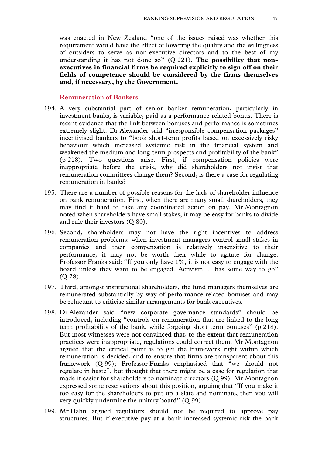was enacted in New Zealand "one of the issues raised was whether this requirement would have the effect of lowering the quality and the willingness of outsiders to serve as non-executive directors and to the best of my understanding it has not done so" (Q 221). **The possibility that nonexecutives in financial firms be required explicitly to sign off on their fields of competence should be considered by the firms themselves and, if necessary, by the Government.**

### **Remuneration of Bankers**

- 194. A very substantial part of senior banker remuneration, particularly in investment banks, is variable, paid as a performance-related bonus. There is recent evidence that the link between bonuses and performance is sometimes extremely slight. Dr Alexander said "irresponsible compensation packages" incentivised bankers to "book short-term profits based on excessively risky behaviour which increased systemic risk in the financial system and weakened the medium and long-term prospects and profitability of the bank" (p 218). Two questions arise. First, if compensation policies were inappropriate before the crisis, why did shareholders not insist that remuneration committees change them? Second, is there a case for regulating remuneration in banks?
- 195. There are a number of possible reasons for the lack of shareholder influence on bank remuneration. First, when there are many small shareholders, they may find it hard to take any coordinated action on pay. Mr Montagnon noted when shareholders have small stakes, it may be easy for banks to divide and rule their investors (Q 80).
- 196. Second, shareholders may not have the right incentives to address remuneration problems: when investment managers control small stakes in companies and their compensation is relatively insensitive to their performance, it may not be worth their while to agitate for change. Professor Franks said: "If you only have 1%, it is not easy to engage with the board unless they want to be engaged. Activism ... has some way to go"  $(O 78)$ .
- 197. Third, amongst institutional shareholders, the fund managers themselves are remunerated substantially by way of performance-related bonuses and may be reluctant to criticise similar arrangements for bank executives.
- 198. Dr Alexander said "new corporate governance standards" should be introduced, including "controls on remuneration that are linked to the long term profitability of the bank, while forgoing short term bonuses" (p 218). But most witnesses were not convinced that, to the extent that remuneration practices were inappropriate, regulations could correct them. Mr Montagnon argued that the critical point is to get the framework right within which remuneration is decided, and to ensure that firms are transparent about this framework (Q 99); Professor Franks emphasised that "we should not regulate in haste", but thought that there might be a case for regulation that made it easier for shareholders to nominate directors (Q 99). Mr Montagnon expressed some reservations about this position, arguing that "If you make it too easy for the shareholders to put up a slate and nominate, then you will very quickly undermine the unitary board" (Q 99).
- 199. Mr Hahn argued regulators should not be required to approve pay structures. But if executive pay at a bank increased systemic risk the bank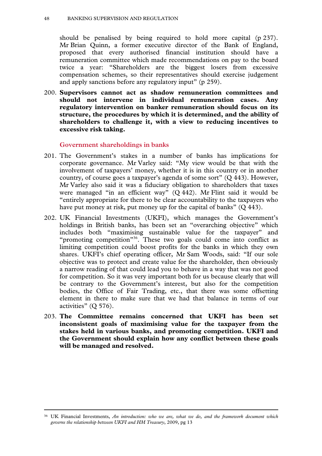should be penalised by being required to hold more capital (p 237). Mr Brian Quinn, a former executive director of the Bank of England, proposed that every authorised financial institution should have a remuneration committee which made recommendations on pay to the board twice a year: "Shareholders are the biggest losers from excessive compensation schemes, so their representatives should exercise judgement and apply sanctions before any regulatory input" (p 259).

200. **Supervisors cannot act as shadow remuneration committees and should not intervene in individual remuneration cases. Any regulatory intervention on banker remuneration should focus on its structure, the procedures by which it is determined, and the ability of shareholders to challenge it, with a view to reducing incentives to excessive risk taking.** 

#### **Government shareholdings in banks**

- 201. The Government's stakes in a number of banks has implications for corporate governance. Mr Varley said: "My view would be that with the involvement of taxpayers' money, whether it is in this country or in another country, of course goes a taxpayer's agenda of some sort" (Q 443). However, Mr Varley also said it was a fiduciary obligation to shareholders that taxes were managed "in an efficient way" (Q 442). Mr Flint said it would be "entirely appropriate for there to be clear accountability to the taxpayers who have put money at risk, put money up for the capital of banks" (Q 443).
- 202. UK Financial Investments (UKFI), which manages the Government's holdings in British banks, has been set an "overarching objective" which includes both "maximising sustainable value for the taxpayer" and "promoting competition"36. These two goals could come into conflict as limiting competition could boost profits for the banks in which they own shares. UKFI's chief operating officer, Mr Sam Woods, said: "If our sole objective was to protect and create value for the shareholder, then obviously a narrow reading of that could lead you to behave in a way that was not good for competition. So it was very important both for us because clearly that will be contrary to the Government's interest, but also for the competition bodies, the Office of Fair Trading, etc., that there was some offsetting element in there to make sure that we had that balance in terms of our activities" (Q 576).
- 203. **The Committee remains concerned that UKFI has been set inconsistent goals of maximising value for the taxpayer from the stakes held in various banks, and promoting competition. UKFI and the Government should explain how any conflict between these goals will be managed and resolved.**

 <sup>36</sup> UK Financial Investments, *An introduction: who we are, what we do, and the framework document which governs the relationship between UKFI and HM Treasury*, 2009, pg 13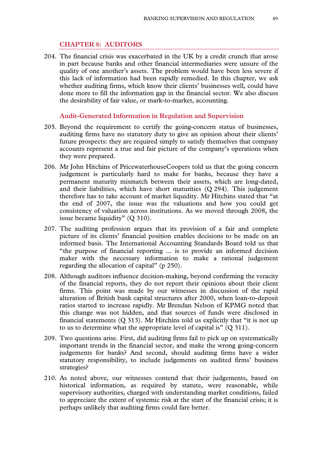# **CHAPTER 8: AUDITORS**

204. The financial crisis was exacerbated in the UK by a credit crunch that arose in part because banks and other financial intermediaries were unsure of the quality of one another's assets. The problem would have been less severe if this lack of information had been rapidly remedied. In this chapter, we ask whether auditing firms, which know their clients' businesses well, could have done more to fill the information gap in the financial sector. We also discuss the desirability of fair value, or mark-to-market, accounting.

#### **Audit-Generated Information in Regulation and Supervision**

- 205. Beyond the requirement to certify the going-concern status of businesses, auditing firms have no statutory duty to give an opinion about their clients' future prospects: they are required simply to satisfy themselves that company accounts represent a true and fair picture of the company's operations when they were prepared.
- 206. Mr John Hitchins of PricewaterhouseCoopers told us that the going concern judgement is particularly hard to make for banks, because they have a permanent maturity mismatch between their assets, which are long-dated, and their liabilities, which have short maturities (Q 294). This judgement therefore has to take account of market liquidity. Mr Hitchins stated that "at the end of 2007, the issue was the valuations and how you could get consistency of valuation across institutions. As we moved through 2008, the issue became liquidity" (Q 310).
- 207. The auditing profession argues that its provision of a fair and complete picture of its clients' financial position enables decisions to be made on an informed basis. The International Accounting Standards Board told us that "the purpose of financial reporting ... is to provide an informed decision maker with the necessary information to make a rational judgement regarding the allocation of capital" (p 250).
- 208. Although auditors influence decision-making, beyond confirming the veracity of the financial reports, they do not report their opinions about their client firms. This point was made by our witnesses in discussion of the rapid alteration of British bank capital structures after 2000, when loan-to-deposit ratios started to increase rapidly. Mr Brendan Nelson of KPMG noted that this change was not hidden, and that sources of funds were disclosed in financial statements  $(Q 313)$ . Mr Hitchins told us explicitly that "it is not up to us to determine what the appropriate level of capital is" (Q 311).
- 209. Two questions arise. First, did auditing firms fail to pick up on systematically important trends in the financial sector, and make the wrong going-concern judgements for banks? And second, should auditing firms have a wider statutory responsibility, to include judgements on audited firms' business strategies?
- 210. As noted above, our witnesses contend that their judgements, based on historical information, as required by statute, were reasonable, while supervisory authorities, charged with understanding market conditions, failed to appreciate the extent of systemic risk at the start of the financial crisis; it is perhaps unlikely that auditing firms could fare better.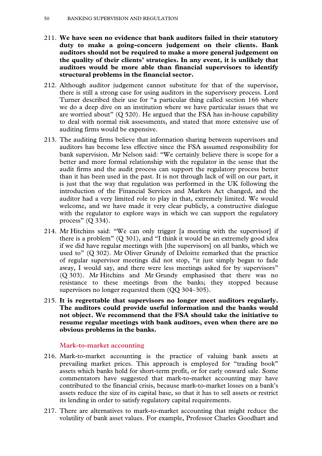- 211. **We have seen no evidence that bank auditors failed in their statutory duty to make a going-concern judgement on their clients. Bank auditors should not be required to make a more general judgement on the quality of their clients' strategies. In any event, it is unlikely that auditors would be more able than financial supervisors to identify structural problems in the financial sector.**
- 212. Although auditor judgement cannot substitute for that of the supervisor, there is still a strong case for using auditors in the supervisory process. Lord Turner described their use for "a particular thing called section 166 where we do a deep dive on an institution where we have particular issues that we are worried about"  $(Q 520)$ . He argued that the FSA has in-house capability to deal with normal risk assessments, and stated that more extensive use of auditing firms would be expensive.
- 213. The auditing firms believe that information sharing between supervisors and auditors has become less effective since the FSA assumed responsibility for bank supervision. Mr Nelson said: "We certainly believe there is scope for a better and more formal relationship with the regulator in the sense that the audit firms and the audit process can support the regulatory process better than it has been used in the past. It is not through lack of will on our part, it is just that the way that regulation was performed in the UK following the introduction of the Financial Services and Markets Act changed, and the auditor had a very limited role to play in that, extremely limited. We would welcome, and we have made it very clear publicly, a constructive dialogue with the regulator to explore ways in which we can support the regulatory process" (Q 334).
- 214. Mr Hitchins said: "We can only trigger [a meeting with the supervisor] if there is a problem" (Q 301), and "I think it would be an extremely good idea if we did have regular meetings with [the supervisors] on all banks, which we used to" (Q 302). Mr Oliver Grundy of Deloitte remarked that the practice of regular supervisor meetings did not stop, "it just simply began to fade away, I would say, and there were less meetings asked for by supervisors" (Q 303). Mr Hitchins and Mr Grundy emphasised that there was no resistance to these meetings from the banks; they stopped because supervisors no longer requested them (QQ 304–305).
- 215. **It is regrettable that supervisors no longer meet auditors regularly. The auditors could provide useful information and the banks would not object. We recommend that the FSA should take the initiative to resume regular meetings with bank auditors, even when there are no obvious problems in the banks.**

# **Mark-to-market accounting**

- 216. Mark-to-market accounting is the practice of valuing bank assets at prevailing market prices. This approach is employed for "trading book" assets which banks hold for short-term profit, or for early onward sale. Some commentators have suggested that mark-to-market accounting may have contributed to the financial crisis, because mark-to-market losses on a bank's assets reduce the size of its capital base, so that it has to sell assets or restrict its lending in order to satisfy regulatory capital requirements.
- 217. There are alternatives to mark-to-market accounting that might reduce the volatility of bank asset values. For example, Professor Charles Goodhart and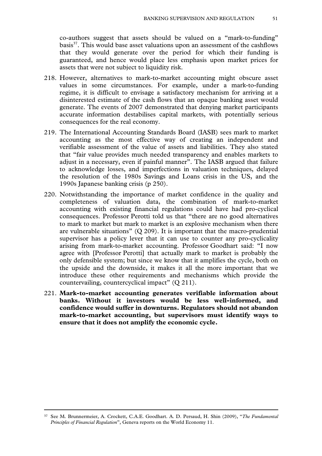co-authors suggest that assets should be valued on a "mark-to-funding" basis<sup>37</sup>. This would base asset valuations upon an assessment of the cashflows that they would generate over the period for which their funding is guaranteed, and hence would place less emphasis upon market prices for assets that were not subject to liquidity risk.

- 218. However, alternatives to mark-to-market accounting might obscure asset values in some circumstances. For example, under a mark-to-funding regime, it is difficult to envisage a satisfactory mechanism for arriving at a disinterested estimate of the cash flows that an opaque banking asset would generate. The events of 2007 demonstrated that denying market participants accurate information destabilises capital markets, with potentially serious consequences for the real economy.
- 219. The International Accounting Standards Board (IASB) sees mark to market accounting as the most effective way of creating an independent and verifiable assessment of the value of assets and liabilities. They also stated that "fair value provides much needed transparency and enables markets to adjust in a necessary, even if painful manner". The IASB argued that failure to acknowledge losses, and imperfections in valuation techniques, delayed the resolution of the 1980s Savings and Loans crisis in the US, and the 1990s Japanese banking crisis (p 250).
- 220. Notwithstanding the importance of market confidence in the quality and completeness of valuation data, the combination of mark-to-market accounting with existing financial regulations could have had pro-cyclical consequences. Professor Perotti told us that "there are no good alternatives to mark to market but mark to market is an explosive mechanism when there are vulnerable situations" (Q 209). It is important that the macro-prudential supervisor has a policy lever that it can use to counter any pro-cyclicality arising from mark-to-market accounting. Professor Goodhart said: "I now agree with [Professor Perotti] that actually mark to market is probably the only defensible system; but since we know that it amplifies the cycle, both on the upside and the downside, it makes it all the more important that we introduce these other requirements and mechanisms which provide the countervailing, countercyclical impact" (Q 211).
- 221. **Mark-to-market accounting generates verifiable information about banks. Without it investors would be less well-informed, and confidence would suffer in downturns. Regulators should not abandon mark-to-market accounting, but supervisors must identify ways to ensure that it does not amplify the economic cycle.**

 <sup>37</sup> See M. Brunnermeier, A. Crockett, C.A.E. Goodhart. A. D. Persaud, H. Shin (2009), "*The Fundamental Principles of Financial Regulation*", Geneva reports on the World Economy 11.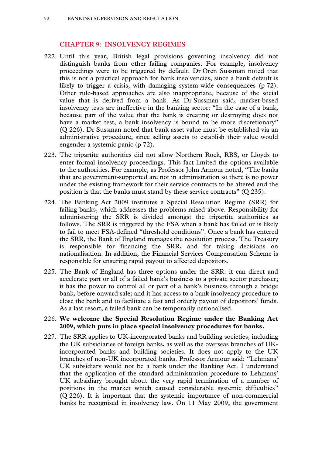### **CHAPTER 9: INSOLVENCY REGIMES**

- 222. Until this year, British legal provisions governing insolvency did not distinguish banks from other failing companies. For example, insolvency proceedings were to be triggered by default. Dr Oren Sussman noted that this is not a practical approach for bank insolvencies, since a bank default is likely to trigger a crisis, with damaging system-wide consequences (p 72). Other rule-based approaches are also inappropriate, because of the social value that is derived from a bank. As Dr Sussman said, market-based insolvency tests are ineffective in the banking sector: "In the case of a bank, because part of the value that the bank is creating or destroying does not have a market test, a bank insolvency is bound to be more discretionary" (Q 226). Dr Sussman noted that bank asset value must be established via an administrative procedure, since selling assets to establish their value would engender a systemic panic (p 72).
- 223. The tripartite authorities did not allow Northern Rock, RBS, or Lloyds to enter formal insolvency proceedings. This fact limited the options available to the authorities. For example, as Professor John Armour noted, "The banks that are government-supported are not in administration so there is no power under the existing framework for their service contracts to be altered and the position is that the banks must stand by these service contracts" (Q 235).
- 224. The Banking Act 2009 institutes a Special Resolution Regime (SRR) for failing banks, which addresses the problems raised above. Responsibility for administering the SRR is divided amongst the tripartite authorities as follows. The SRR is triggered by the FSA when a bank has failed or is likely to fail to meet FSA-defined "threshold conditions". Once a bank has entered the SRR, the Bank of England manages the resolution process. The Treasury is responsible for financing the SRR, and for taking decisions on nationalisation. In addition, the Financial Services Compensation Scheme is responsible for ensuring rapid payout to affected depositors.
- 225. The Bank of England has three options under the SRR: it can direct and accelerate part or all of a failed bank's business to a private sector purchaser; it has the power to control all or part of a bank's business through a bridge bank, before onward sale; and it has access to a bank insolvency procedure to close the bank and to facilitate a fast and orderly payout of depositors' funds. As a last resort, a failed bank can be temporarily nationalised.

#### 226. **We welcome the Special Resolution Regime under the Banking Act 2009, which puts in place special insolvency procedures for banks.**

227. The SRR applies to UK-incorporated banks and building societies, including the UK subsidiaries of foreign banks, as well as the overseas branches of UKincorporated banks and building societies. It does not apply to the UK branches of non-UK incorporated banks. Professor Armour said: "Lehmans' UK subsidiary would not be a bank under the Banking Act. I understand that the application of the standard administration procedure to Lehmans' UK subsidiary brought about the very rapid termination of a number of positions in the market which caused considerable systemic difficulties" (Q 226). It is important that the systemic importance of non-commercial banks be recognised in insolvency law. On 11 May 2009, the government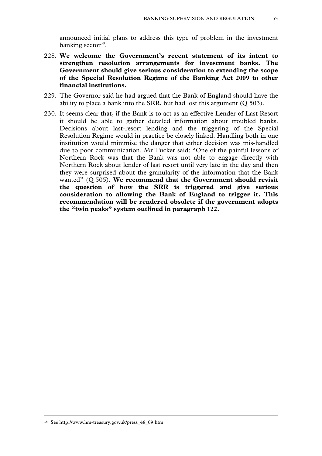announced initial plans to address this type of problem in the investment banking sector $38$ .

- 228. **We welcome the Government's recent statement of its intent to strengthen resolution arrangements for investment banks. The Government should give serious consideration to extending the scope of the Special Resolution Regime of the Banking Act 2009 to other financial institutions.**
- 229. The Governor said he had argued that the Bank of England should have the ability to place a bank into the SRR, but had lost this argument (Q 503).
- 230. It seems clear that, if the Bank is to act as an effective Lender of Last Resort it should be able to gather detailed information about troubled banks. Decisions about last-resort lending and the triggering of the Special Resolution Regime would in practice be closely linked. Handling both in one institution would minimise the danger that either decision was mis-handled due to poor communication. Mr Tucker said: "One of the painful lessons of Northern Rock was that the Bank was not able to engage directly with Northern Rock about lender of last resort until very late in the day and then they were surprised about the granularity of the information that the Bank wanted" (Q 505). **We recommend that the Government should revisit the question of how the SRR is triggered and give serious consideration to allowing the Bank of England to trigger it. This recommendation will be rendered obsolete if the government adopts the "twin peaks" system outlined in paragraph 122.**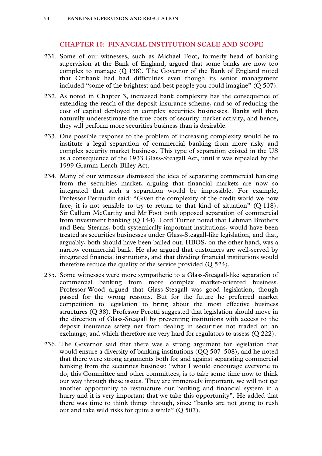# **CHAPTER 10: FINANCIAL INSTITUTION SCALE AND SCOPE**

- 231. Some of our witnesses, such as Michael Foot, formerly head of banking supervision at the Bank of England, argued that some banks are now too complex to manage (Q 138). The Governor of the Bank of England noted that Citibank had had difficulties even though its senior management included "some of the brightest and best people you could imagine" (Q 507).
- 232. As noted in Chapter 3, increased bank complexity has the consequence of extending the reach of the deposit insurance scheme, and so of reducing the cost of capital deployed in complex securities businesses. Banks will then naturally underestimate the true costs of security market activity, and hence, they will perform more securities business than is desirable.
- 233. One possible response to the problem of increasing complexity would be to institute a legal separation of commercial banking from more risky and complex security market business. This type of separation existed in the US as a consequence of the 1933 Glass-Steagall Act, until it was repealed by the 1999 Gramm-Leach-Bliley Act.
- 234. Many of our witnesses dismissed the idea of separating commercial banking from the securities market, arguing that financial markets are now so integrated that such a separation would be impossible. For example, Professor Perraudin said: "Given the complexity of the credit world we now face, it is not sensible to try to return to that kind of situation" (Q 118). Sir Callum McCarthy and Mr Foot both opposed separation of commercial from investment banking (Q 144). Lord Turner noted that Lehman Brothers and Bear Stearns, both systemically important institutions, would have been treated as securities businesses under Glass-Steagall-like legislation, and that, arguably, both should have been bailed out. HBOS, on the other hand, was a narrow commercial bank. He also argued that customers are well-served by integrated financial institutions, and that dividing financial institutions would therefore reduce the quality of the service provided (Q 524).
- 235. Some witnesses were more sympathetic to a Glass-Steagall-like separation of commercial banking from more complex market-oriented business. Professor Wood argued that Glass-Steagall was good legislation, though passed for the wrong reasons. But for the future he preferred market competition to legislation to bring about the most effective business structures (Q 38). Professor Perotti suggested that legislation should move in the direction of Glass-Steagall by preventing institutions with access to the deposit insurance safety net from dealing in securities not traded on an exchange, and which therefore are very hard for regulators to assess (Q 222).
- 236. The Governor said that there was a strong argument for legislation that would ensure a diversity of banking institutions (QQ 507–508), and he noted that there were strong arguments both for and against separating commercial banking from the securities business: "what I would encourage everyone to do, this Committee and other committees, is to take some time now to think our way through these issues. They are immensely important, we will not get another opportunity to restructure our banking and financial system in a hurry and it is very important that we take this opportunity". He added that there was time to think things through, since "banks are not going to rush out and take wild risks for quite a while" (Q 507).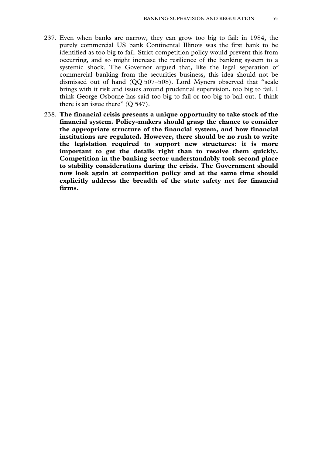- 237. Even when banks are narrow, they can grow too big to fail: in 1984, the purely commercial US bank Continental Illinois was the first bank to be identified as too big to fail. Strict competition policy would prevent this from occurring, and so might increase the resilience of the banking system to a systemic shock. The Governor argued that, like the legal separation of commercial banking from the securities business, this idea should not be dismissed out of hand (QQ 507–508). Lord Myners observed that "scale brings with it risk and issues around prudential supervision, too big to fail. I think George Osborne has said too big to fail or too big to bail out. I think there is an issue there" (O 547).
- 238. **The financial crisis presents a unique opportunity to take stock of the financial system. Policy-makers should grasp the chance to consider the appropriate structure of the financial system, and how financial institutions are regulated. However, there should be no rush to write the legislation required to support new structures: it is more important to get the details right than to resolve them quickly. Competition in the banking sector understandably took second place to stability considerations during the crisis. The Government should now look again at competition policy and at the same time should explicitly address the breadth of the state safety net for financial firms.**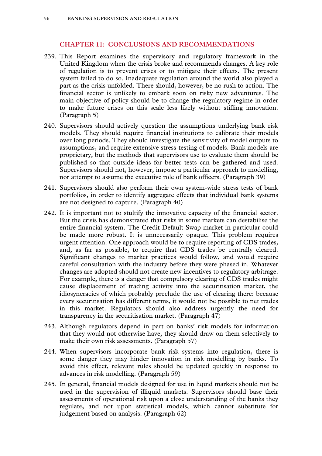# **CHAPTER 11: CONCLUSIONS AND RECOMMENDATIONS**

- 239. This Report examines the supervisory and regulatory framework in the United Kingdom when the crisis broke and recommends changes. A key role of regulation is to prevent crises or to mitigate their effects. The present system failed to do so. Inadequate regulation around the world also played a part as the crisis unfolded. There should, however, be no rush to action. The financial sector is unlikely to embark soon on risky new adventures. The main objective of policy should be to change the regulatory regime in order to make future crises on this scale less likely without stifling innovation. (Paragraph 5)
- 240. Supervisors should actively question the assumptions underlying bank risk models. They should require financial institutions to calibrate their models over long periods. They should investigate the sensitivity of model outputs to assumptions, and require extensive stress-testing of models. Bank models are proprietary, but the methods that supervisors use to evaluate them should be published so that outside ideas for better tests can be gathered and used. Supervisors should not, however, impose a particular approach to modelling, nor attempt to assume the executive role of bank officers. (Paragraph 39)
- 241. Supervisors should also perform their own system-wide stress tests of bank portfolios, in order to identify aggregate effects that individual bank systems are not designed to capture. (Paragraph 40)
- 242. It is important not to stultify the innovative capacity of the financial sector. But the crisis has demonstrated that risks in some markets can destabilise the entire financial system. The Credit Default Swap market in particular could be made more robust. It is unnecessarily opaque. This problem requires urgent attention. One approach would be to require reporting of CDS trades, and, as far as possible, to require that CDS trades be centrally cleared. Significant changes to market practices would follow, and would require careful consultation with the industry before they were phased in. Whatever changes are adopted should not create new incentives to regulatory arbitrage. For example, there is a danger that compulsory clearing of CDS trades might cause displacement of trading activity into the securitisation market, the idiosyncracies of which probably preclude the use of clearing there: because every securitisation has different terms, it would not be possible to net trades in this market. Regulators should also address urgently the need for transparency in the securitisation market. (Paragraph 47)
- 243. Although regulators depend in part on banks' risk models for information that they would not otherwise have, they should draw on them selectively to make their own risk assessments. (Paragraph 57)
- 244. When supervisors incorporate bank risk systems into regulation, there is some danger they may hinder innovation in risk modelling by banks. To avoid this effect, relevant rules should be updated quickly in response to advances in risk modelling. (Paragraph 59)
- 245. In general, financial models designed for use in liquid markets should not be used in the supervision of illiquid markets. Supervisors should base their assessments of operational risk upon a close understanding of the banks they regulate, and not upon statistical models, which cannot substitute for judgement based on analysis. (Paragraph 62)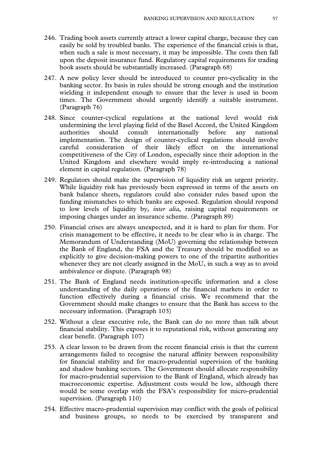- 246. Trading book assets currently attract a lower capital charge, because they can easily be sold by troubled banks. The experience of the financial crisis is that, when such a sale is most necessary, it may be impossible. The costs then fall upon the deposit insurance fund. Regulatory capital requirements for trading book assets should be substantially increased. (Paragraph 68)
- 247. A new policy lever should be introduced to counter pro-cyclicality in the banking sector. Its basis in rules should be strong enough and the institution wielding it independent enough to ensure that the lever is used in boom times. The Government should urgently identify a suitable instrument. (Paragraph 76)
- 248. Since counter-cyclical regulations at the national level would risk undermining the level playing field of the Basel Accord, the United Kingdom authorities should consult internationally before any national implementation. The design of counter-cyclical regulations should involve careful consideration of their likely effect on the international competitiveness of the City of London, especially since their adoption in the United Kingdom and elsewhere would imply re-introducing a national element in capital regulation. (Paragraph 78)
- 249. Regulators should make the supervision of liquidity risk an urgent priority. While liquidity risk has previously been expressed in terms of the assets on bank balance sheets, regulators could also consider rules based upon the funding mismatches to which banks are exposed. Regulation should respond to low levels of liquidity by, *inter alia,* raising capital requirements or imposing charges under an insurance scheme. (Paragraph 89)
- 250. Financial crises are always unexpected, and it is hard to plan for them. For crisis management to be effective, it needs to be clear who is in charge. The Memorandum of Understanding (MoU) governing the relationship between the Bank of England, the FSA and the Treasury should be modified so as explicitly to give decision-making powers to one of the tripartite authorities whenever they are not clearly assigned in the MoU, in such a way as to avoid ambivalence or dispute. (Paragraph 98)
- 251. The Bank of England needs institution-specific information and a close understanding of the daily operations of the financial markets in order to function effectively during a financial crisis. We recommend that the Government should make changes to ensure that the Bank has access to the necessary information. (Paragraph 103)
- 252. Without a clear executive role, the Bank can do no more than talk about financial stability. This exposes it to reputational risk, without generating any clear benefit. (Paragraph 107)
- 253. A clear lesson to be drawn from the recent financial crisis is that the current arrangements failed to recognise the natural affinity between responsibility for financial stability and for macro-prudential supervision of the banking and shadow banking sectors. The Government should allocate responsibility for macro-prudential supervision to the Bank of England, which already has macroeconomic expertise. Adjustment costs would be low, although there would be some overlap with the FSA's responsibility for micro-prudential supervision. (Paragraph 110)
- 254. Effective macro-prudential supervision may conflict with the goals of political and business groups, so needs to be exercised by transparent and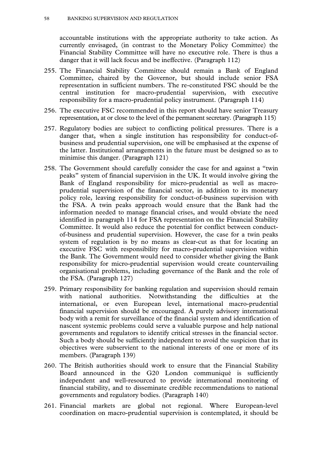accountable institutions with the appropriate authority to take action. As currently envisaged, (in contrast to the Monetary Policy Committee) the Financial Stability Committee will have no executive role. There is thus a danger that it will lack focus and be ineffective. (Paragraph 112)

- 255. The Financial Stability Committee should remain a Bank of England Committee, chaired by the Governor, but should include senior FSA representation in sufficient numbers. The re-constituted FSC should be the central institution for macro-prudential supervision, with executive responsibility for a macro-prudential policy instrument. (Paragraph 114)
- 256. The executive FSC recommended in this report should have senior Treasury representation, at or close to the level of the permanent secretary. (Paragraph 115)
- 257. Regulatory bodies are subject to conflicting political pressures. There is a danger that, when a single institution has responsibility for conduct-ofbusiness and prudential supervision, one will be emphasised at the expense of the latter. Institutional arrangements in the future must be designed so as to minimise this danger. (Paragraph 121)
- 258. The Government should carefully consider the case for and against a "twin peaks" system of financial supervision in the UK. It would involve giving the Bank of England responsibility for micro-prudential as well as macroprudential supervision of the financial sector, in addition to its monetary policy role, leaving responsibility for conduct-of-business supervision with the FSA. A twin peaks approach would ensure that the Bank had the information needed to manage financial crises, and would obviate the need identified in paragraph 114 for FSA representation on the Financial Stability Committee. It would also reduce the potential for conflict between conductof-business and prudential supervision. However, the case for a twin peaks system of regulation is by no means as clear-cut as that for locating an executive FSC with responsibility for macro-prudential supervision within the Bank. The Government would need to consider whether giving the Bank responsibility for micro-prudential supervision would create countervailing organisational problems, including governance of the Bank and the role of the FSA. (Paragraph 127)
- 259. Primary responsibility for banking regulation and supervision should remain with national authorities. Notwithstanding the difficulties at the international, or even European level, international macro-prudential financial supervision should be encouraged. A purely advisory international body with a remit for surveillance of the financial system and identification of nascent systemic problems could serve a valuable purpose and help national governments and regulators to identify critical stresses in the financial sector. Such a body should be sufficiently independent to avoid the suspicion that its objectives were subservient to the national interests of one or more of its members. (Paragraph 139)
- 260. The British authorities should work to ensure that the Financial Stability Board announced in the G20 London communiqué is sufficiently independent and well-resourced to provide international monitoring of financial stability, and to disseminate credible recommendations to national governments and regulatory bodies. (Paragraph 140)
- 261. Financial markets are global not regional. Where European-level coordination on macro-prudential supervision is contemplated, it should be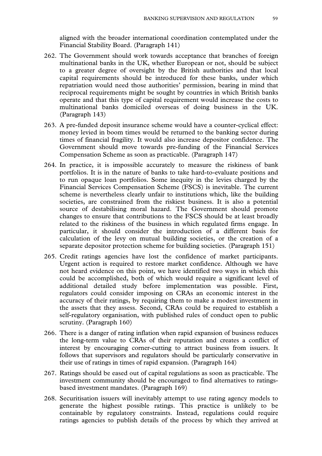aligned with the broader international coordination contemplated under the Financial Stability Board. (Paragraph 141)

- 262. The Government should work towards acceptance that branches of foreign multinational banks in the UK, whether European or not, should be subject to a greater degree of oversight by the British authorities and that local capital requirements should be introduced for these banks, under which repatriation would need those authorities' permission, bearing in mind that reciprocal requirements might be sought by countries in which British banks operate and that this type of capital requirement would increase the costs to multinational banks domiciled overseas of doing business in the UK. (Paragraph 143)
- 263. A pre-funded deposit insurance scheme would have a counter-cyclical effect: money levied in boom times would be returned to the banking sector during times of financial fragility. It would also increase depositor confidence. The Government should move towards pre-funding of the Financial Services Compensation Scheme as soon as practicable. (Paragraph 147)
- 264. In practice, it is impossible accurately to measure the riskiness of bank portfolios. It is in the nature of banks to take hard-to-evaluate positions and to run opaque loan portfolios. Some inequity in the levies charged by the Financial Services Compensation Scheme (FSCS) is inevitable. The current scheme is nevertheless clearly unfair to institutions which, like the building societies, are constrained from the riskiest business. It is also a potential source of destabilising moral hazard. The Government should promote changes to ensure that contributions to the FSCS should be at least broadly related to the riskiness of the business in which regulated firms engage. In particular, it should consider the introduction of a different basis for calculation of the levy on mutual building societies, or the creation of a separate depositor protection scheme for building societies. (Paragraph 151)
- 265. Credit ratings agencies have lost the confidence of market participants. Urgent action is required to restore market confidence. Although we have not heard evidence on this point, we have identified two ways in which this could be accomplished, both of which would require a significant level of additional detailed study before implementation was possible. First, regulators could consider imposing on CRAs an economic interest in the accuracy of their ratings, by requiring them to make a modest investment in the assets that they assess. Second, CRAs could be required to establish a self-regulatory organisation, with published rules of conduct open to public scrutiny. (Paragraph 160)
- 266. There is a danger of rating inflation when rapid expansion of business reduces the long-term value to CRAs of their reputation and creates a conflict of interest by encouraging corner-cutting to attract business from issuers. It follows that supervisors and regulators should be particularly conservative in their use of ratings in times of rapid expansion. (Paragraph 164)
- 267. Ratings should be eased out of capital regulations as soon as practicable. The investment community should be encouraged to find alternatives to ratingsbased investment mandates. (Paragraph 169)
- 268. Securitisation issuers will inevitably attempt to use rating agency models to generate the highest possible ratings. This practice is unlikely to be containable by regulatory constraints. Instead, regulations could require ratings agencies to publish details of the process by which they arrived at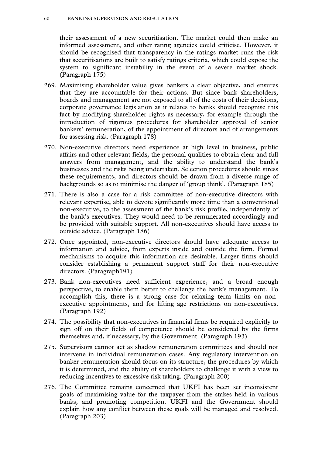their assessment of a new securitisation. The market could then make an informed assessment, and other rating agencies could criticise. However, it should be recognised that transparency in the ratings market runs the risk that securitisations are built to satisfy ratings criteria, which could expose the system to significant instability in the event of a severe market shock. (Paragraph 175)

- 269. Maximising shareholder value gives bankers a clear objective, and ensures that they are accountable for their actions. But since bank shareholders, boards and management are not exposed to all of the costs of their decisions, corporate governance legislation as it relates to banks should recognise this fact by modifying shareholder rights as necessary, for example through the introduction of rigorous procedures for shareholder approval of senior bankers' remuneration, of the appointment of directors and of arrangements for assessing risk. (Paragraph 178)
- 270. Non-executive directors need experience at high level in business, public affairs and other relevant fields, the personal qualities to obtain clear and full answers from management, and the ability to understand the bank's businesses and the risks being undertaken. Selection procedures should stress these requirements, and directors should be drawn from a diverse range of backgrounds so as to minimise the danger of 'group think'. (Paragraph 185)
- 271. There is also a case for a risk committee of non-executive directors with relevant expertise, able to devote significantly more time than a conventional non-executive, to the assessment of the bank's risk profile, independently of the bank's executives. They would need to be remunerated accordingly and be provided with suitable support. All non-executives should have access to outside advice. (Paragraph 186)
- 272. Once appointed, non-executive directors should have adequate access to information and advice, from experts inside and outside the firm. Formal mechanisms to acquire this information are desirable. Larger firms should consider establishing a permanent support staff for their non-executive directors. (Paragraph191)
- 273. Bank non-executives need sufficient experience, and a broad enough perspective, to enable them better to challenge the bank's management. To accomplish this, there is a strong case for relaxing term limits on nonexecutive appointments, and for lifting age restrictions on non-executives. (Paragraph 192)
- 274. The possibility that non-executives in financial firms be required explicitly to sign off on their fields of competence should be considered by the firms themselves and, if necessary, by the Government. (Paragraph 193)
- 275. Supervisors cannot act as shadow remuneration committees and should not intervene in individual remuneration cases. Any regulatory intervention on banker remuneration should focus on its structure, the procedures by which it is determined, and the ability of shareholders to challenge it with a view to reducing incentives to excessive risk taking. (Paragraph 200)
- 276. The Committee remains concerned that UKFI has been set inconsistent goals of maximising value for the taxpayer from the stakes held in various banks, and promoting competition. UKFI and the Government should explain how any conflict between these goals will be managed and resolved. (Paragraph 203)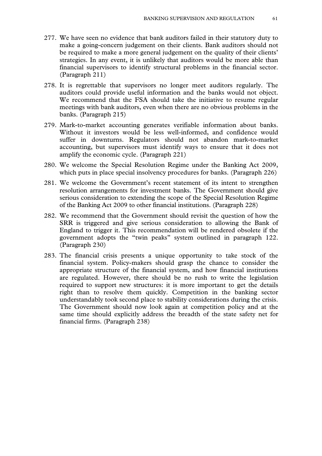- 277. We have seen no evidence that bank auditors failed in their statutory duty to make a going-concern judgement on their clients. Bank auditors should not be required to make a more general judgement on the quality of their clients' strategies. In any event, it is unlikely that auditors would be more able than financial supervisors to identify structural problems in the financial sector. (Paragraph 211)
- 278. It is regrettable that supervisors no longer meet auditors regularly. The auditors could provide useful information and the banks would not object. We recommend that the FSA should take the initiative to resume regular meetings with bank auditors, even when there are no obvious problems in the banks. (Paragraph 215)
- 279. Mark-to-market accounting generates verifiable information about banks. Without it investors would be less well-informed, and confidence would suffer in downturns. Regulators should not abandon mark-to-market accounting, but supervisors must identify ways to ensure that it does not amplify the economic cycle. (Paragraph 221)
- 280. We welcome the Special Resolution Regime under the Banking Act 2009, which puts in place special insolvency procedures for banks. (Paragraph 226)
- 281. We welcome the Government's recent statement of its intent to strengthen resolution arrangements for investment banks. The Government should give serious consideration to extending the scope of the Special Resolution Regime of the Banking Act 2009 to other financial institutions. (Paragraph 228)
- 282. We recommend that the Government should revisit the question of how the SRR is triggered and give serious consideration to allowing the Bank of England to trigger it. This recommendation will be rendered obsolete if the government adopts the "twin peaks" system outlined in paragraph 122. (Paragraph 230)
- 283. The financial crisis presents a unique opportunity to take stock of the financial system. Policy-makers should grasp the chance to consider the appropriate structure of the financial system, and how financial institutions are regulated. However, there should be no rush to write the legislation required to support new structures: it is more important to get the details right than to resolve them quickly. Competition in the banking sector understandably took second place to stability considerations during the crisis. The Government should now look again at competition policy and at the same time should explicitly address the breadth of the state safety net for financial firms. (Paragraph 238)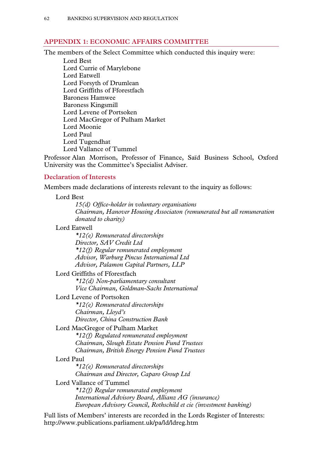#### **APPENDIX 1: ECONOMIC AFFAIRS COMMITTEE**

The members of the Select Committee which conducted this inquiry were:

Lord Best Lord Currie of Marylebone Lord Eatwell Lord Forsyth of Drumlean Lord Griffiths of Fforestfach Baroness Hamwee Baroness Kingsmill Lord Levene of Portsoken Lord MacGregor of Pulham Market Lord Moonie Lord Paul Lord Tugendhat Lord Vallance of Tummel

Professor Alan Morrison, Professor of Finance, Saïd Business School, Oxford University was the Committee's Specialist Adviser.

### **Declaration of Interests**

Members made declarations of interests relevant to the inquiry as follows:

#### Lord Best

*15(d) Office-holder in voluntary organisations Chairman, Hanover Housing Associaton (remunerated but all remuneration donated to charity)* 

# Lord Eatwell

*\*12(e) Remunerated directorships Director, SAV Credit Ltd \*12(f) Regular remunerated employment Advisor, Warburg Pincus International Ltd Advisor, Palamon Capital Partners, LLP* 

#### Lord Griffiths of Fforestfach

*\*12(d) Non-parliamentary consultant Vice Chairman, Goldman-Sachs International* 

# Lord Levene of Portsoken

*\*12(e) Remunerated directorships Chairman, Lloyd's Director, China Construction Bank* 

#### Lord MacGregor of Pulham Market

*\*12(f) Regulated remunerated employment Chairman, Slough Estate Pension Fund Trustees Chairman, British Energy Pension Fund Trustees* 

#### Lord Paul

*\*12(e) Remunerated directorships Chairman and Director, Caparo Group Ltd* 

# Lord Vallance of Tummel

*\*12(f) Regular remunerated employment International Advisory Board, Allianz AG (insurance) European Advisory Council, Rothschild et cie (investment banking)* 

Full lists of Members' interests are recorded in the Lords Register of Interests: http://www.publications.parliament.uk/pa/ld/ldreg.htm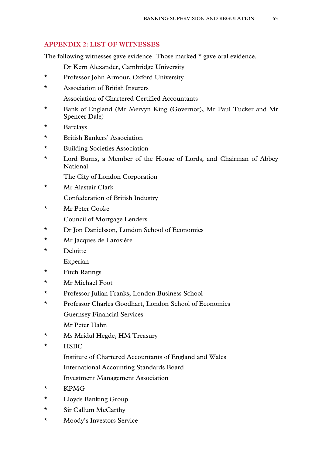# **APPENDIX 2: LIST OF WITNESSES**

The following witnesses gave evidence. Those marked  $\star$  gave oral evidence.

Dr Kern Alexander, Cambridge University

- \* Professor John Armour, Oxford University
- \* Association of British Insurers Association of Chartered Certified Accountants
- \* Bank of England (Mr Mervyn King (Governor), Mr Paul Tucker and Mr Spencer Dale)
- \* Barclays
- \* British Bankers' Association
- \* Building Societies Association
- \* Lord Burns, a Member of the House of Lords, and Chairman of Abbey National

The City of London Corporation

- \* Mr Alastair Clark Confederation of British Industry
- \* Mr Peter Cooke

Council of Mortgage Lenders

- \* Dr Jon Danielsson, London School of Economics
- \* Mr Jacques de Larosière
- \* Deloitte

Experian

- \* Fitch Ratings
- \* Mr Michael Foot
- \* Professor Julian Franks, London Business School
- \* Professor Charles Goodhart, London School of Economics Guernsey Financial Services Mr Peter Hahn
- \* Ms Mridul Hegde, HM Treasury
- \* HSBC
	- Institute of Chartered Accountants of England and Wales
	- International Accounting Standards Board
	- Investment Management Association
- \* KPMG
- \* Lloyds Banking Group
- \* Sir Callum McCarthy
- \* Moody's Investors Service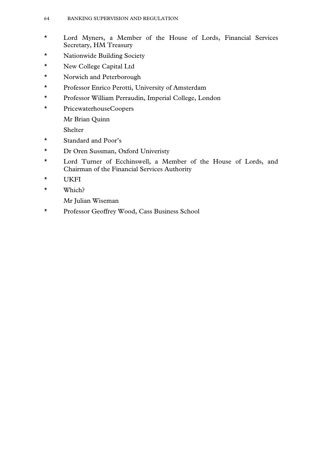- \* Lord Myners, a Member of the House of Lords, Financial Services Secretary, HM Treasury
- \* Nationwide Building Society
- \* New College Capital Ltd
- \* Norwich and Peterborough
- \* Professor Enrico Perotti, University of Amsterdam
- \* Professor William Perraudin, Imperial College, London
- \* PricewaterhouseCoopers

Mr Brian Quinn

Shelter

- \* Standard and Poor's
- \* Dr Oren Sussman, Oxford Univeristy
- \* Lord Turner of Ecchinswell, a Member of the House of Lords, and Chairman of the Financial Services Authority
- \* UKFI
- \* Which?

Mr Julian Wiseman

\* Professor Geoffrey Wood, Cass Business School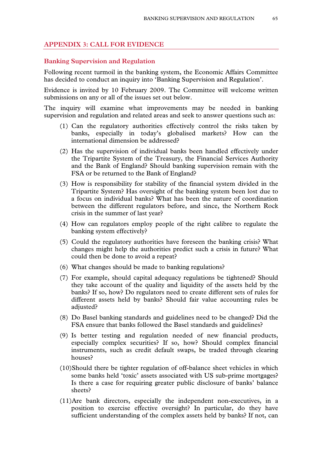# **APPENDIX 3: CALL FOR EVIDENCE**

#### **Banking Supervision and Regulation**

Following recent turmoil in the banking system, the Economic Affairs Committee has decided to conduct an inquiry into 'Banking Supervision and Regulation'.

Evidence is invited by 10 February 2009. The Committee will welcome written submissions on any or all of the issues set out below.

The inquiry will examine what improvements may be needed in banking supervision and regulation and related areas and seek to answer questions such as:

- (1) Can the regulatory authorities effectively control the risks taken by banks, especially in today's globalised markets? How can the international dimension be addressed?
- (2) Has the supervision of individual banks been handled effectively under the Tripartite System of the Treasury, the Financial Services Authority and the Bank of England? Should banking supervision remain with the FSA or be returned to the Bank of England?
- (3) How is responsibility for stability of the financial system divided in the Tripartite System? Has oversight of the banking system been lost due to a focus on individual banks? What has been the nature of coordination between the different regulators before, and since, the Northern Rock crisis in the summer of last year?
- (4) How can regulators employ people of the right calibre to regulate the banking system effectively?
- (5) Could the regulatory authorities have foreseen the banking crisis? What changes might help the authorities predict such a crisis in future? What could then be done to avoid a repeat?
- (6) What changes should be made to banking regulations?
- (7) For example, should capital adequacy regulations be tightened? Should they take account of the quality and liquidity of the assets held by the banks? If so, how? Do regulators need to create different sets of rules for different assets held by banks? Should fair value accounting rules be adjusted?
- (8) Do Basel banking standards and guidelines need to be changed? Did the FSA ensure that banks followed the Basel standards and guidelines?
- (9) Is better testing and regulation needed of new financial products, especially complex securities? If so, how? Should complex financial instruments, such as credit default swaps, be traded through clearing houses?
- (10)Should there be tighter regulation of off-balance sheet vehicles in which some banks held 'toxic' assets associated with US sub-prime mortgages? Is there a case for requiring greater public disclosure of banks' balance sheets?
- (11)Are bank directors, especially the independent non-executives, in a position to exercise effective oversight? In particular, do they have sufficient understanding of the complex assets held by banks? If not, can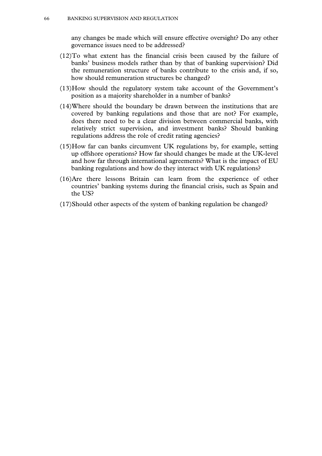any changes be made which will ensure effective oversight? Do any other governance issues need to be addressed?

- (12)To what extent has the financial crisis been caused by the failure of banks' business models rather than by that of banking supervision? Did the remuneration structure of banks contribute to the crisis and, if so, how should remuneration structures be changed?
- (13)How should the regulatory system take account of the Government's position as a majority shareholder in a number of banks?
- (14)Where should the boundary be drawn between the institutions that are covered by banking regulations and those that are not? For example, does there need to be a clear division between commercial banks, with relatively strict supervision, and investment banks? Should banking regulations address the role of credit rating agencies?
- (15)How far can banks circumvent UK regulations by, for example, setting up offshore operations? How far should changes be made at the UK-level and how far through international agreements? What is the impact of EU banking regulations and how do they interact with UK regulations?
- (16)Are there lessons Britain can learn from the experience of other countries' banking systems during the financial crisis, such as Spain and the US?
- (17)Should other aspects of the system of banking regulation be changed?